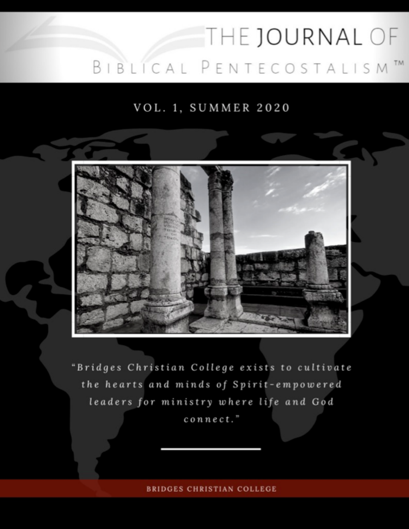# THE JOURNAL OF BIBLICAL PENTECOSTALISM<sup>™</sup>

VOL. 1, SUMMER 2020



"Bridges Christian College exists to cultivate the hearts and minds of Spirit-empowered leaders for ministry where life and God connect."

**BRIDGES CHRISTIAN COLLEGE**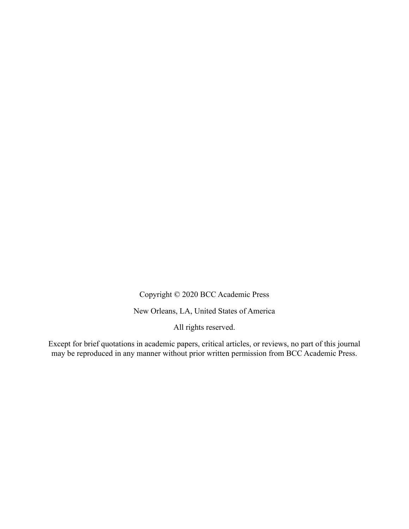Copyright © 2020 BCC Academic Press

New Orleans, LA, United States of America

All rights reserved.

Except for brief quotations in academic papers, critical articles, or reviews, no part of this journal may be reproduced in any manner without prior written permission from BCC Academic Press.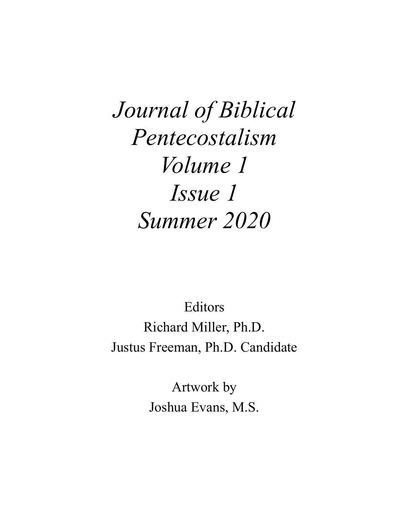*Journal of Biblical Pentecostalism Volume 1 Issue 1 Summer 2020*

Editors Richard Miller, Ph.D. Justus Freeman, Ph.D. Candidate

> Artwork by Joshua Evans, M.S.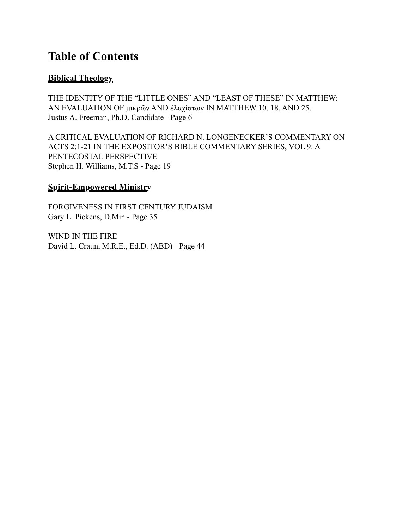## **Table of Contents**

#### **Biblical Theology**

THE IDENTITY OF THE "LITTLE ONES" AND "LEAST OF THESE" IN MATTHEW: AN EVALUATION OF µικρῶν AND ἐλαχίστων IN MATTHEW 10, 18, AND 25. Justus A. Freeman, Ph.D. Candidate - Page 6

A CRITICAL EVALUATION OF RICHARD N. LONGENECKER'S COMMENTARY ON ACTS 2:1-21 IN THE EXPOSITOR'S BIBLE COMMENTARY SERIES, VOL 9: A PENTECOSTAL PERSPECTIVE Stephen H. Williams, M.T.S - Page 19

#### **Spirit-Empowered Ministry**

FORGIVENESS IN FIRST CENTURY JUDAISM Gary L. Pickens, D.Min - Page 35

WIND IN THE FIRE David L. Craun, M.R.E., Ed.D. (ABD) - Page 44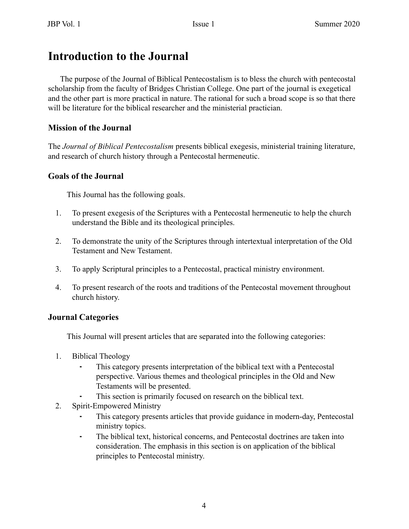### **Introduction to the Journal**

The purpose of the Journal of Biblical Pentecostalism is to bless the church with pentecostal scholarship from the faculty of Bridges Christian College. One part of the journal is exegetical and the other part is more practical in nature. The rational for such a broad scope is so that there will be literature for the biblical researcher and the ministerial practician.

#### **Mission of the Journal**

The *Journal of Biblical Pentecostalism* presents biblical exegesis, ministerial training literature, and research of church history through a Pentecostal hermeneutic.

#### **Goals of the Journal**

This Journal has the following goals.

- 1. To present exegesis of the Scriptures with a Pentecostal hermeneutic to help the church understand the Bible and its theological principles.
- 2. To demonstrate the unity of the Scriptures through intertextual interpretation of the Old Testament and New Testament.
- 3. To apply Scriptural principles to a Pentecostal, practical ministry environment.
- 4. To present research of the roots and traditions of the Pentecostal movement throughout church history.

#### **Journal Categories**

This Journal will present articles that are separated into the following categories:

- 1. Biblical Theology
	- This category presents interpretation of the biblical text with a Pentecostal perspective. Various themes and theological principles in the Old and New Testaments will be presented.
	- This section is primarily focused on research on the biblical text.
- 2. Spirit-Empowered Ministry
	- This category presents articles that provide guidance in modern-day, Pentecostal ministry topics.
	- ⁃ The biblical text, historical concerns, and Pentecostal doctrines are taken into consideration. The emphasis in this section is on application of the biblical principles to Pentecostal ministry.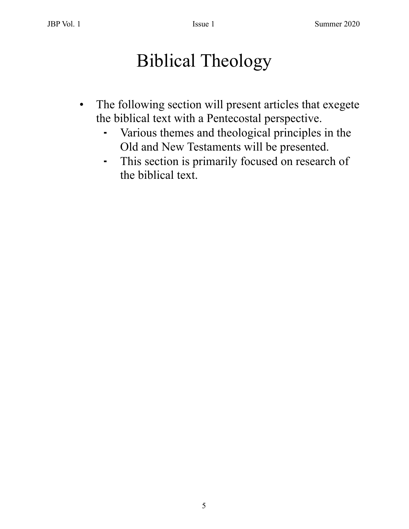## Biblical Theology

- The following section will present articles that exegete the biblical text with a Pentecostal perspective.
	- ⁃ Various themes and theological principles in the Old and New Testaments will be presented.
	- ⁃ This section is primarily focused on research of the biblical text.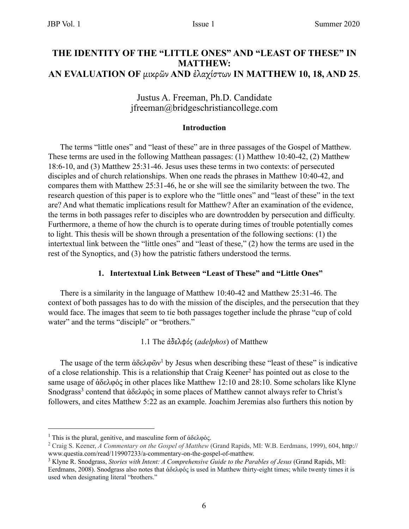#### **THE IDENTITY OF THE "LITTLE ONES" AND "LEAST OF THESE" IN MATTHEW: AN EVALUATION OF** µικρῶν **AND** ἐλαχίστων **IN MATTHEW 10, 18, AND 25**.

#### Justus A. Freeman, Ph.D. Candidate jfreeman@bridgeschristiancollege.com

#### **Introduction**

The terms "little ones" and "least of these" are in three passages of the Gospel of Matthew. These terms are used in the following Matthean passages: (1) Matthew 10:40-42, (2) Matthew 18:6-10, and (3) Matthew 25:31-46. Jesus uses these terms in two contexts: of persecuted disciples and of church relationships. When one reads the phrases in Matthew 10:40-42, and compares them with Matthew 25:31-46, he or she will see the similarity between the two. The research question of this paper is to explore who the "little ones" and "least of these" in the text are? And what thematic implications result for Matthew? After an examination of the evidence, the terms in both passages refer to disciples who are downtrodden by persecution and difficulty. Furthermore, a theme of how the church is to operate during times of trouble potentially comes to light. This thesis will be shown through a presentation of the following sections: (1) the intertextual link between the "little ones" and "least of these," (2) how the terms are used in the rest of the Synoptics, and (3) how the patristic fathers understood the terms.

#### **1. Intertextual Link Between "Least of These" and "Little Ones"**

There is a similarity in the language of Matthew 10:40-42 and Matthew 25:31-46. The context of both passages has to do with the mission of the disciples, and the persecution that they would face. The images that seem to tie both passages together include the phrase "cup of cold water" and the terms "disciple" or "brothers."

1.1 The ἀδελφός (*adelphos*) of Matthew

The usage of the term  $\hat{\alpha} \delta \epsilon \lambda \varphi \tilde{\omega} v^1$  by Jesus when describing these "least of these" is indicative of a close relationship. This is a relationship that Craig Keener<sup>2</sup> has pointed out as close to the same usage of ἀδελφός in other places like Matthew 12:10 and 28:10. Some scholars like Klyne Snodgrass<sup>3</sup> contend that ἀδελφός in some places of Matthew cannot always refer to Christ's followers, and cites Matthew 5:22 as an example. Joachim Jeremias also furthers this notion by

<sup>&</sup>lt;sup>1</sup> This is the plural, genitive, and masculine form of ἀδελφός.

<sup>2</sup> Craig S. Keener, *A Commentary on the Gospel of Matthew* (Grand Rapids, MI: W.B. Eerdmans, 1999), 604, http:// www.questia.com/read/119907233/a-commentary-on-the-gospel-of-matthew.

<sup>&</sup>lt;sup>3</sup> Klyne R. Snodgrass, *Stories with Intent: A Comprehensive Guide to the Parables of Jesus* (Grand Rapids, MI: Eerdmans, 2008). Snodgrass also notes that ἀδελφός is used in Matthew thirty-eight times; while twenty times it is used when designating literal "brothers."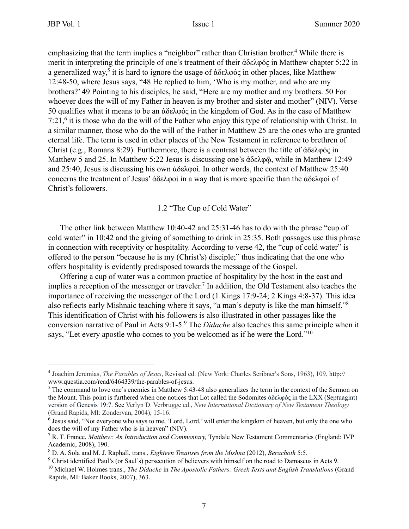emphasizing that the term implies a "neighbor" rather than Christian brother.<sup>4</sup> While there is merit in interpreting the principle of one's treatment of their ἀδελφός in Matthew chapter 5:22 in a generalized way,<sup>5</sup> it is hard to ignore the usage of ἀδελφός in other places, like Matthew 12:48-50, where Jesus says, "48 He replied to him, 'Who is my mother, and who are my brothers?' 49 Pointing to his disciples, he said, "Here are my mother and my brothers. 50 For whoever does the will of my Father in heaven is my brother and sister and mother" (NIV). Verse 50 qualifies what it means to be an ἀδελφός in the kingdom of God. As in the case of Matthew 7:21,6 it is those who do the will of the Father who enjoy this type of relationship with Christ. In a similar manner, those who do the will of the Father in Matthew 25 are the ones who are granted eternal life. The term is used in other places of the New Testament in reference to brethren of Christ (e.g., Romans 8:29). Furthermore, there is a contrast between the title of ἀδελφός in Matthew 5 and 25. In Matthew 5:22 Jesus is discussing one's ἀδελφῷ, while in Matthew 12:49 and 25:40, Jesus is discussing his own ἀδελφοὶ. In other words, the context of Matthew 25:40 concerns the treatment of Jesus' ἀδελφοὶ in a way that is more specific than the ἀδελφοὶ of Christ's followers.

#### 1.2 "The Cup of Cold Water"

The other link between Matthew 10:40-42 and 25:31-46 has to do with the phrase "cup of cold water" in 10:42 and the giving of something to drink in 25:35. Both passages use this phrase in connection with receptivity or hospitality. According to verse 42, the "cup of cold water" is offered to the person "because he is my (Christ's) disciple;" thus indicating that the one who offers hospitality is evidently predisposed towards the message of the Gospel.

Offering a cup of water was a common practice of hospitality by the host in the east and implies a reception of the messenger or traveler.<sup>7</sup> In addition, the Old Testament also teaches the importance of receiving the messenger of the Lord (1 Kings 17:9-24; 2 Kings 4:8-37). This idea also reflects early Mishnaic teaching where it says, "a man's deputy is like the man himself."8 This identification of Christ with his followers is also illustrated in other passages like the conversion narrative of Paul in Acts 9:1-5.9 The *Didache* also teaches this same principle when it says, "Let every apostle who comes to you be welcomed as if he were the Lord."<sup>10</sup>

<sup>4</sup> Joachim Jeremias, *The Parables of Jesus*, Revised ed. (New York: Charles Scribner's Sons, 1963), 109, http:// www.questia.com/read/6464339/the-parables-of-jesus.

 $<sup>5</sup>$  The command to love one's enemies in Matthew 5:43-48 also generalizes the term in the context of the Sermon on</sup> the Mount. This point is furthered when one notices that Lot called the Sodomites ἀδελφός in the LXX (Septuagint) version of Genesis 19:7. See Verlyn D. Verbrugge ed., *New International Dictionary of New Testament Theology* (Grand Rapids, MI: Zondervan, 2004), 15-16.

<sup>&</sup>lt;sup>6</sup> Jesus said, "Not everyone who says to me, 'Lord, Lord,' will enter the kingdom of heaven, but only the one who does the will of my Father who is in heaven" (NIV).

<sup>7</sup> R. T. France, *Matthew: An Introduction and Commentary,* Tyndale New Testament Commentaries (England: IVP Academic, 2008), 190.

<sup>8</sup> D. A. Sola and M. J. Raphall, trans., *Eighteen Treatises from the Mishna* (2012), *Berachoth* 5:5.

<sup>&</sup>lt;sup>9</sup> Christ identified Paul's (or Saul's) persecution of believers with himself on the road to Damascus in Acts 9.

<sup>10</sup> Michael W. Holmes trans., *The Didache* in *The Apostolic Fathers: Greek Texts and English Translations* (Grand Rapids, MI: Baker Books, 2007), 363.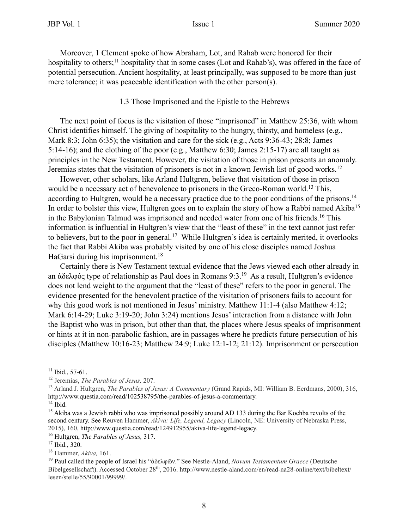Moreover, 1 Clement spoke of how Abraham, Lot, and Rahab were honored for their hospitality to others;<sup>11</sup> hospitality that in some cases (Lot and Rahab's), was offered in the face of potential persecution. Ancient hospitality, at least principally, was supposed to be more than just mere tolerance; it was peaceable identification with the other person(s).

#### 1.3 Those Imprisoned and the Epistle to the Hebrews

The next point of focus is the visitation of those "imprisoned" in Matthew 25:36, with whom Christ identifies himself. The giving of hospitality to the hungry, thirsty, and homeless (e.g., Mark 8:3; John 6:35); the visitation and care for the sick (e.g., Acts 9:36-43; 28:8; James 5:14-16); and the clothing of the poor (e.g., Matthew 6:30; James 2:15-17) are all taught as principles in the New Testament. However, the visitation of those in prison presents an anomaly. Jeremias states that the visitation of prisoners is not in a known Jewish list of good works.12

However, other scholars, like Arland Hultgren, believe that visitation of those in prison would be a necessary act of benevolence to prisoners in the Greco-Roman world.<sup>13</sup> This, according to Hultgren, would be a necessary practice due to the poor conditions of the prisons.<sup>14</sup> In order to bolster this view, Hultgren goes on to explain the story of how a Rabbi named Akiba<sup>15</sup> in the Babylonian Talmud was imprisoned and needed water from one of his friends.16 This information is influential in Hultgren's view that the "least of these" in the text cannot just refer to believers, but to the poor in general.<sup>17</sup> While Hultgren's idea is certainly merited, it overlooks the fact that Rabbi Akiba was probably visited by one of his close disciples named Joshua HaGarsi during his imprisonment.<sup>18</sup>

Certainly there is New Testament textual evidence that the Jews viewed each other already in an ἀδελφός type of relationship as Paul does in Romans 9:3.19 As a result, Hultgren's evidence does not lend weight to the argument that the "least of these" refers to the poor in general. The evidence presented for the benevolent practice of the visitation of prisoners fails to account for why this good work is not mentioned in Jesus' ministry. Matthew 11:1-4 (also Matthew 4:12; Mark 6:14-29; Luke 3:19-20; John 3:24) mentions Jesus' interaction from a distance with John the Baptist who was in prison, but other than that, the places where Jesus speaks of imprisonment or hints at it in non-parabolic fashion, are in passages where he predicts future persecution of his disciples (Matthew 10:16-23; Matthew 24:9; Luke 12:1-12; 21:12). Imprisonment or persecution

 $11$  Ibid., 57-61.

<sup>12</sup> Jeremias, *The Parables of Jesus,* 207.

<sup>13</sup> Arland J. Hultgren, *The Parables of Jesus: A Commentary* (Grand Rapids, MI: William B. Eerdmans, 2000), 316, http://www.questia.com/read/102538795/the-parables-of-jesus-a-commentary.

 $14$  Ibid.

<sup>&</sup>lt;sup>15</sup> Akiba was a Jewish rabbi who was imprisoned possibly around AD 133 during the Bar Kochba revolts of the second century. See Reuven Hammer, *Akiva: Life, Legend, Legacy* (Lincoln, NE: University of Nebraska Press, 2015), 160, http://www.questia.com/read/124912955/akiva-life-legend-legacy.

<sup>16</sup> Hultgren, *The Parables of Jesus,* 317.

 $17$  Ibid., 320.

<sup>18</sup> Hammer, *Akiva,* 161.

<sup>19</sup> Paul called the people of Israel his "ἀδελφῶν." See Nestle-Aland, *Novum Testamentum Graece* (Deutsche Bibelgesellschaft). Accessed October 28th, 2016. http://www.nestle-aland.com/en/read-na28-online/text/bibeltext/ lesen/stelle/55/90001/99999/.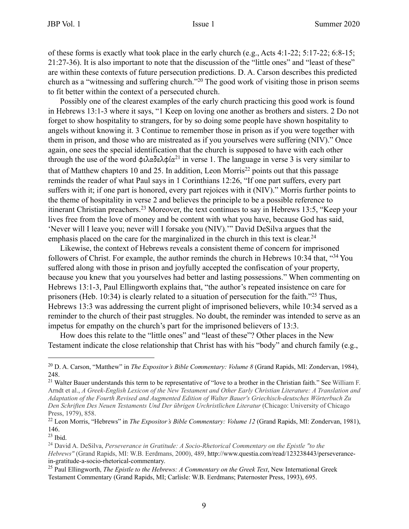of these forms is exactly what took place in the early church (e.g., Acts 4:1-22; 5:17-22; 6:8-15; 21:27-36). It is also important to note that the discussion of the "little ones" and "least of these" are within these contexts of future persecution predictions. D. A. Carson describes this predicted church as a "witnessing and suffering church."20 The good work of visiting those in prison seems to fit better within the context of a persecuted church.

Possibly one of the clearest examples of the early church practicing this good work is found in Hebrews 13:1-3 where it says, "1 Keep on loving one another as brothers and sisters. 2 Do not forget to show hospitality to strangers, for by so doing some people have shown hospitality to angels without knowing it. 3 Continue to remember those in prison as if you were together with them in prison, and those who are mistreated as if you yourselves were suffering (NIV)." Once again, one sees the special identification that the church is supposed to have with each other through the use of the word  $\phi \iota \lambda \alpha \delta \epsilon \lambda \phi \iota \alpha^{21}$  in verse 1. The language in verse 3 is very similar to that of Matthew chapters 10 and 25. In addition, Leon Morris<sup>22</sup> points out that this passage reminds the reader of what Paul says in 1 Corinthians 12:26, "If one part suffers, every part suffers with it; if one part is honored, every part rejoices with it (NIV)." Morris further points to the theme of hospitality in verse 2 and believes the principle to be a possible reference to itinerant Christian preachers.23 Moreover, the text continues to say in Hebrews 13:5, "Keep your lives free from the love of money and be content with what you have, because God has said, 'Never will I leave you; never will I forsake you (NIV).'" David DeSilva argues that the emphasis placed on the care for the marginalized in the church in this text is clear.<sup>24</sup>

Likewise, the context of Hebrews reveals a consistent theme of concern for imprisoned followers of Christ. For example, the author reminds the church in Hebrews 10:34 that, "34 You suffered along with those in prison and joyfully accepted the confiscation of your property, because you knew that you yourselves had better and lasting possessions." When commenting on Hebrews 13:1-3, Paul Ellingworth explains that, "the author's repeated insistence on care for prisoners (Heb. 10:34) is clearly related to a situation of persecution for the faith."25 Thus, Hebrews 13:3 was addressing the current plight of imprisoned believers, while 10:34 served as a reminder to the church of their past struggles. No doubt, the reminder was intended to serve as an impetus for empathy on the church's part for the imprisoned believers of 13:3.

How does this relate to the "little ones" and "least of these"? Other places in the New Testament indicate the close relationship that Christ has with his "body" and church family (e.g.,

<sup>20</sup> D. A. Carson, "Matthew" in *The Expositor's Bible Commentary: Volume 8* (Grand Rapids, MI: Zondervan, 1984), 248.

<sup>&</sup>lt;sup>21</sup> Walter Bauer understands this term to be representative of "love to a brother in the Christian faith." See William F. Arndt et al., *A Greek-English Lexicon of the New Testament and Other Early Christian Literature: A Translation and Adaptation of the Fourth Revised and Augmented Edition of Walter Bauer's Griechisch-deutsches Wörterbuch Zu Den Schriften Des Neuen Testaments Und Der übrigen Urchristlichen Literatur* (Chicago: University of Chicago Press, 1979), 858.

<sup>22</sup> Leon Morris, "Hebrews" in *The Expositor's Bible Commentary: Volume 12* (Grand Rapids, MI: Zondervan, 1981), 146.

<sup>23</sup> Ibid.

<sup>24</sup> David A. DeSilva, *Perseverance in Gratitude: A Socio-Rhetorical Commentary on the Epistle "to the Hebrews"* (Grand Rapids, MI: W.B. Eerdmans, 2000), 489, http://www.questia.com/read/123238443/perseverancein-gratitude-a-socio-rhetorical-commentary.

<sup>&</sup>lt;sup>25</sup> Paul Ellingworth, *The Epistle to the Hebrews: A Commentary on the Greek Text*, New International Greek Testament Commentary (Grand Rapids, MI; Carlisle: W.B. Eerdmans; Paternoster Press, 1993), 695.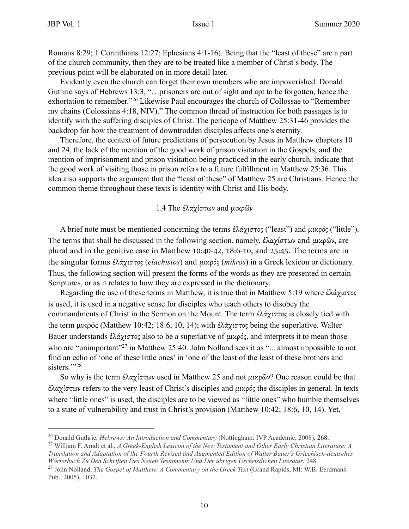Romans 8:29; 1 Corinthians 12:27; Ephesians 4:1-16). Being that the "least of these" are a part of the church community, then they are to be treated like a member of Christ's body. The previous point will be elaborated on in more detail later.

Evidently even the church can forget their own members who are impoverished. Donald Guthrie says of Hebrews 13:3, "…prisoners are out of sight and apt to be forgotten, hence the exhortation to remember."26 Likewise Paul encourages the church of Collossae to "Remember my chains (Colossians 4:18, NIV)." The common thread of instruction for both passages is to identify with the suffering disciples of Christ. The pericope of Matthew 25:31-46 provides the backdrop for how the treatment of downtrodden disciples affects one's eternity.

Therefore, the context of future predictions of persecution by Jesus in Matthew chapters 10 and 24, the lack of the mention of the good work of prison visitation in the Gospels, and the mention of imprisonment and prison visitation being practiced in the early church, indicate that the good work of visiting those in prison refers to a future fulfillment in Matthew 25:36. This idea also supports the argument that the "least of these" of Matthew 25 are Christians. Hence the common theme throughout these texts is identity with Christ and His body.

#### 1.4 The ἐλαχίστων and µικρῶν

A brief note must be mentioned concerning the terms ἐλάχιστος ("least") and µικρός ("little"). The terms that shall be discussed in the following section, namely, έλαχίστων and μικρῶν, are plural and in the genitive case in Matthew 10:40-42, 18:6-10, and 25:45. The terms are in the singular forms ἐλάχιστος (*elachistos*) and µικρός (*mikros*) in a Greek lexicon or dictionary. Thus, the following section will present the forms of the words as they are presented in certain Scriptures, or as it relates to how they are expressed in the dictionary.

Regarding the use of these terms in Matthew, it is true that in Matthew 5:19 where ἐλάχιστος is used, it is used in a negative sense for disciples who teach others to disobey the commandments of Christ in the Sermon on the Mount. The term ἐλάχιστος is closely tied with the term µικρός (Matthew 10:42; 18:6, 10, 14); with ἐλάχιστος being the superlative. Walter Bauer understands ἐλάχιστος also to be a superlative of μικρός, and interprets it to mean those who are "unimportant"<sup>27</sup> in Matthew 25:40. John Nolland sees it as "... almost impossible to not find an echo of 'one of these little ones' in 'one of the least of the least of these brothers and sisters."<sup>28</sup>

So why is the term ἐλαχίστων used in Matthew 25 and not µικρῶν? One reason could be that ἐλαχίστων refers to the very least of Christ's disciples and µικρός the disciples in general. In texts where "little ones" is used, the disciples are to be viewed as "little ones" who humble themselves to a state of vulnerability and trust in Christ's provision (Matthew 10:42; 18:6, 10, 14). Yet,

<sup>26</sup> Donald Guthrie, *Hebrews: An Introduction and Commentary* (Nottingham: IVP Academic, 2008), 268.

<sup>27</sup> William F. Arndt et al., *A Greek-English Lexicon of the New Testament and Other Early Christian Literature: A Translation and Adaptation of the Fourth Revised and Augmented Edition of Walter Bauer's Griechisch-deutsches Wörterbuch Zu Den Schriften Des Neuen Testaments Und Der übrigen Urchristlichen Literatur*, 248.

<sup>28</sup> John Nolland, *The Gospel of Matthew: A Commentary on the Greek Text* (Grand Rapids, MI: W.B. Eerdmans Pub., 2005), 1032.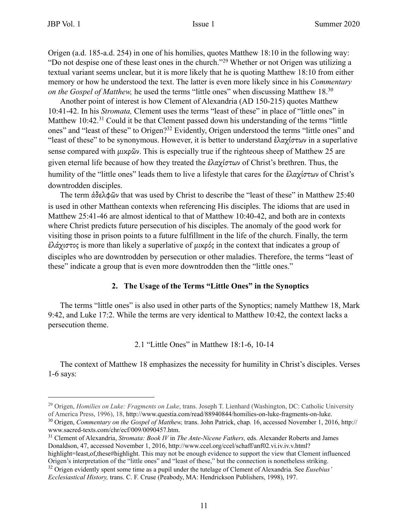Origen (a.d. 185-a.d. 254) in one of his homilies, quotes Matthew 18:10 in the following way: "Do not despise one of these least ones in the church."29 Whether or not Origen was utilizing a textual variant seems unclear, but it is more likely that he is quoting Matthew 18:10 from either memory or how he understood the text. The latter is even more likely since in his *Commentary on the Gospel of Matthew, he used the terms "little ones" when discussing Matthew 18.*<sup>30</sup>

Another point of interest is how Clement of Alexandria (AD 150-215) quotes Matthew 10:41-42. In his *Stromata,* Clement uses the terms "least of these" in place of "little ones" in Matthew 10:42.<sup>31</sup> Could it be that Clement passed down his understanding of the terms "little" ones" and "least of these" to Origen?32 Evidently, Origen understood the terms "little ones" and "least of these" to be synonymous. However, it is better to understand ἐλαχίστων in a superlative sense compared with μικρῶν. This is especially true if the righteous sheep of Matthew 25 are given eternal life because of how they treated the ἐλαχίστων of Christ's brethren. Thus, the humility of the "little ones" leads them to live a lifestyle that cares for the ἐλαχίστων of Christ's downtrodden disciples.

The term ἀδελφῶν that was used by Christ to describe the "least of these" in Matthew 25:40 is used in other Matthean contexts when referencing His disciples. The idioms that are used in Matthew 25:41-46 are almost identical to that of Matthew 10:40-42, and both are in contexts where Christ predicts future persecution of his disciples. The anomaly of the good work for visiting those in prison points to a future fulfillment in the life of the church. Finally, the term ἐλάχιστος is more than likely a superlative of µικρός in the context that indicates a group of disciples who are downtrodden by persecution or other maladies. Therefore, the terms "least of these" indicate a group that is even more downtrodden then the "little ones."

#### **2. The Usage of the Terms "Little Ones" in the Synoptics**

The terms "little ones" is also used in other parts of the Synoptics; namely Matthew 18, Mark 9:42, and Luke 17:2. While the terms are very identical to Matthew 10:42, the context lacks a persecution theme.

#### 2.1 "Little Ones" in Matthew 18:1-6, 10-14

The context of Matthew 18 emphasizes the necessity for humility in Christ's disciples. Verses 1-6 says:

<sup>29</sup> Origen, *Homilies on Luke: Fragments on Luke*, trans. Joseph T. Lienhard (Washington, DC: Catholic University of America Press, 1996), 18, http://www.questia.com/read/88940844/homilies-on-luke-fragments-on-luke.

<sup>30</sup> Origen, *Commentary on the Gospel of Matthew,* trans. John Patrick, chap. 16, accessed November 1, 2016, http:// www.sacred-texts.com/chr/ecf/009/0090457.htm.

<sup>31</sup> Clement of Alexandria, *Stromata: Book IV* in *The Ante-Nicene Fathers,* eds. Alexander Roberts and James Donaldson, 47, accessed November 1, 2016, http://www.ccel.org/ccel/schaff/anf02.vi.iv.iv.v.html? highlight=least,of,these#highlight. This may not be enough evidence to support the view that Clement influenced

Origen's interpretation of the "little ones" and "least of these," but the connection is nonetheless striking. 32 Origen evidently spent some time as a pupil under the tutelage of Clement of Alexandria. See *Eusebius'* 

*Ecclesiastical History,* trans. C. F. Cruse (Peabody, MA: Hendrickson Publishers, 1998), 197.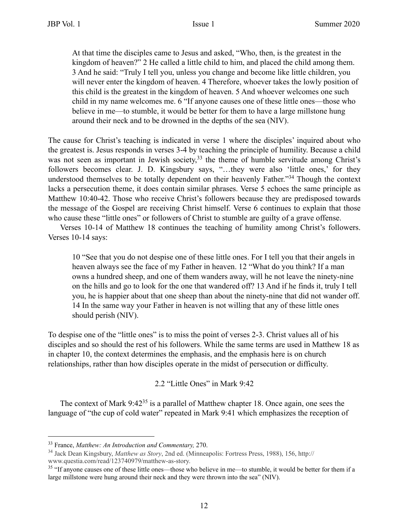At that time the disciples came to Jesus and asked, "Who, then, is the greatest in the kingdom of heaven?" 2 He called a little child to him, and placed the child among them. 3 And he said: "Truly I tell you, unless you change and become like little children, you will never enter the kingdom of heaven. 4 Therefore, whoever takes the lowly position of this child is the greatest in the kingdom of heaven. 5 And whoever welcomes one such child in my name welcomes me. 6 "If anyone causes one of these little ones—those who believe in me—to stumble, it would be better for them to have a large millstone hung around their neck and to be drowned in the depths of the sea (NIV).

The cause for Christ's teaching is indicated in verse 1 where the disciples' inquired about who the greatest is. Jesus responds in verses 3-4 by teaching the principle of humility. Because a child was not seen as important in Jewish society,<sup>33</sup> the theme of humble servitude among Christ's followers becomes clear. J. D. Kingsbury says, "…they were also 'little ones,' for they understood themselves to be totally dependent on their heavenly Father."34 Though the context lacks a persecution theme, it does contain similar phrases. Verse 5 echoes the same principle as Matthew 10:40-42. Those who receive Christ's followers because they are predisposed towards the message of the Gospel are receiving Christ himself. Verse 6 continues to explain that those who cause these "little ones" or followers of Christ to stumble are guilty of a grave offense.

Verses 10-14 of Matthew 18 continues the teaching of humility among Christ's followers. Verses 10-14 says:

10 "See that you do not despise one of these little ones. For I tell you that their angels in heaven always see the face of my Father in heaven. 12 "What do you think? If a man owns a hundred sheep, and one of them wanders away, will he not leave the ninety-nine on the hills and go to look for the one that wandered off? 13 And if he finds it, truly I tell you, he is happier about that one sheep than about the ninety-nine that did not wander off. 14 In the same way your Father in heaven is not willing that any of these little ones should perish (NIV).

To despise one of the "little ones" is to miss the point of verses 2-3. Christ values all of his disciples and so should the rest of his followers. While the same terms are used in Matthew 18 as in chapter 10, the context determines the emphasis, and the emphasis here is on church relationships, rather than how disciples operate in the midst of persecution or difficulty.

#### 2.2 "Little Ones" in Mark 9:42

The context of Mark 9:42<sup>35</sup> is a parallel of Matthew chapter 18. Once again, one sees the language of "the cup of cold water" repeated in Mark 9:41 which emphasizes the reception of

<sup>33</sup> France, *Matthew: An Introduction and Commentary,* 270.

<sup>34</sup> Jack Dean Kingsbury, *Matthew as Story*, 2nd ed. (Minneapolis: Fortress Press, 1988), 156, http://

www.questia.com/read/123740979/matthew-as-story.

<sup>&</sup>lt;sup>35</sup> "If anyone causes one of these little ones—those who believe in me—to stumble, it would be better for them if a large millstone were hung around their neck and they were thrown into the sea" (NIV).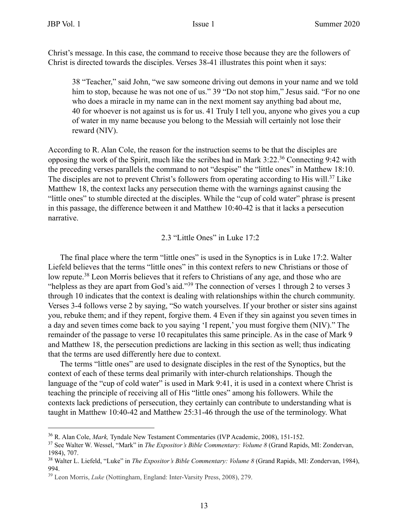Christ's message. In this case, the command to receive those because they are the followers of Christ is directed towards the disciples. Verses 38-41 illustrates this point when it says:

38 "Teacher," said John, "we saw someone driving out demons in your name and we told him to stop, because he was not one of us." 39 "Do not stop him," Jesus said. "For no one who does a miracle in my name can in the next moment say anything bad about me, 40 for whoever is not against us is for us. 41 Truly I tell you, anyone who gives you a cup of water in my name because you belong to the Messiah will certainly not lose their reward (NIV).

According to R. Alan Cole, the reason for the instruction seems to be that the disciples are opposing the work of the Spirit, much like the scribes had in Mark 3:22.36 Connecting 9:42 with the preceding verses parallels the command to not "despise" the "little ones" in Matthew 18:10. The disciples are not to prevent Christ's followers from operating according to His will.<sup>37</sup> Like Matthew 18, the context lacks any persecution theme with the warnings against causing the "little ones" to stumble directed at the disciples. While the "cup of cold water" phrase is present in this passage, the difference between it and Matthew 10:40-42 is that it lacks a persecution narrative.

2.3 "Little Ones" in Luke 17:2

The final place where the term "little ones" is used in the Synoptics is in Luke 17:2. Walter Liefeld believes that the terms "little ones" in this context refers to new Christians or those of low repute.<sup>38</sup> Leon Morris believes that it refers to Christians of any age, and those who are "helpless as they are apart from God's aid."39 The connection of verses 1 through 2 to verses 3 through 10 indicates that the context is dealing with relationships within the church community. Verses 3-4 follows verse 2 by saying, "So watch yourselves. If your brother or sister sins against you, rebuke them; and if they repent, forgive them. 4 Even if they sin against you seven times in a day and seven times come back to you saying 'I repent,' you must forgive them (NIV)." The remainder of the passage to verse 10 recapitulates this same principle. As in the case of Mark 9 and Matthew 18, the persecution predictions are lacking in this section as well; thus indicating that the terms are used differently here due to context.

The terms "little ones" are used to designate disciples in the rest of the Synoptics, but the context of each of these terms deal primarily with inter-church relationships. Though the language of the "cup of cold water" is used in Mark 9:41, it is used in a context where Christ is teaching the principle of receiving all of His "little ones" among his followers. While the contexts lack predictions of persecution, they certainly can contribute to understanding what is taught in Matthew 10:40-42 and Matthew 25:31-46 through the use of the terminology. What

<sup>36</sup> R. Alan Cole, *Mark,* Tyndale New Testament Commentaries (IVP Academic, 2008), 151-152.

<sup>37</sup> See Walter W. Wessel, "Mark" in *The Expositor's Bible Commentary: Volume 8* (Grand Rapids, MI: Zondervan, 1984), 707.

<sup>38</sup> Walter L. Liefeld, "Luke" in *The Expositor's Bible Commentary: Volume 8* (Grand Rapids, MI: Zondervan, 1984), 994.

<sup>39</sup> Leon Morris, *Luke* (Nottingham, England: Inter-Varsity Press, 2008), 279.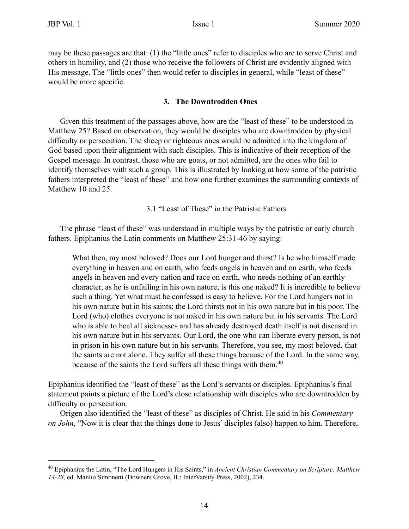may be these passages are that: (1) the "little ones" refer to disciples who are to serve Christ and others in humility, and (2) those who receive the followers of Christ are evidently aligned with His message. The "little ones" then would refer to disciples in general, while "least of these" would be more specific.

#### **3. The Downtrodden Ones**

Given this treatment of the passages above, how are the "least of these" to be understood in Matthew 25? Based on observation, they would be disciples who are downtrodden by physical difficulty or persecution. The sheep or righteous ones would be admitted into the kingdom of God based upon their alignment with such disciples. This is indicative of their reception of the Gospel message. In contrast, those who are goats, or not admitted, are the ones who fail to identify themselves with such a group. This is illustrated by looking at how some of the patristic fathers interpreted the "least of these" and how one further examines the surrounding contexts of Matthew 10 and 25.

3.1 "Least of These" in the Patristic Fathers

The phrase "least of these" was understood in multiple ways by the patristic or early church fathers. Epiphanius the Latin comments on Matthew 25:31-46 by saying:

What then, my most beloved? Does our Lord hunger and thirst? Is he who himself made everything in heaven and on earth, who feeds angels in heaven and on earth, who feeds angels in heaven and every nation and race on earth, who needs nothing of an earthly character, as he is unfailing in his own nature, is this one naked? It is incredible to believe such a thing. Yet what must be confessed is easy to believe. For the Lord hungers not in his own nature but in his saints; the Lord thirsts not in his own nature but in his poor. The Lord (who) clothes everyone is not naked in his own nature but in his servants. The Lord who is able to heal all sicknesses and has already destroyed death itself is not diseased in his own nature but in his servants. Our Lord, the one who can liberate every person, is not in prison in his own nature but in his servants. Therefore, you see, my most beloved, that the saints are not alone. They suffer all these things because of the Lord. In the same way, because of the saints the Lord suffers all these things with them.<sup>40</sup>

Epiphanius identified the "least of these" as the Lord's servants or disciples. Epiphanius's final statement paints a picture of the Lord's close relationship with disciples who are downtrodden by difficulty or persecution.

Origen also identified the "least of these" as disciples of Christ. He said in his *Commentary on John*, "Now it is clear that the things done to Jesus' disciples (also) happen to him. Therefore,

<sup>40</sup> Epiphanius the Latin, "The Lord Hungers in His Saints," in *Ancient Christian Commentary on Scripture: Matthew 14-28,* ed. Manlio Simonetti (Downers Grove, IL: InterVarsity Press, 2002), 234.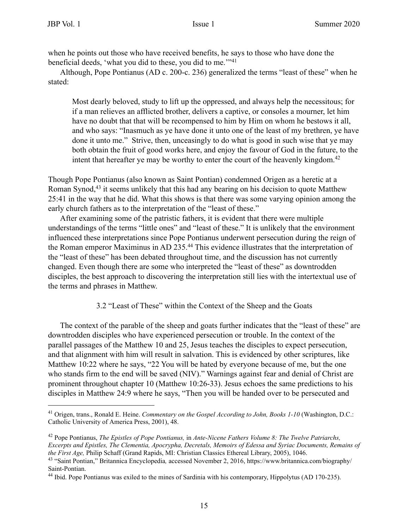when he points out those who have received benefits, he says to those who have done the beneficial deeds, 'what you did to these, you did to me.'"41

Although, Pope Pontianus (AD c. 200-c. 236) generalized the terms "least of these" when he stated:

Most dearly beloved, study to lift up the oppressed, and always help the necessitous; for if a man relieves an afflicted brother, delivers a captive, or consoles a mourner, let him have no doubt that that will be recompensed to him by Him on whom he bestows it all, and who says: "Inasmuch as ye have done it unto one of the least of my brethren, ye have done it unto me." Strive, then, unceasingly to do what is good in such wise that ye may both obtain the fruit of good works here, and enjoy the favour of God in the future, to the intent that hereafter ye may be worthy to enter the court of the heavenly kingdom.<sup>42</sup>

Though Pope Pontianus (also known as Saint Pontian) condemned Origen as a heretic at a Roman Synod,<sup>43</sup> it seems unlikely that this had any bearing on his decision to quote Matthew 25:41 in the way that he did. What this shows is that there was some varying opinion among the early church fathers as to the interpretation of the "least of these."

After examining some of the patristic fathers, it is evident that there were multiple understandings of the terms "little ones" and "least of these." It is unlikely that the environment influenced these interpretations since Pope Pontianus underwent persecution during the reign of the Roman emperor Maximinus in AD 235.<sup>44</sup> This evidence illustrates that the interpretation of the "least of these" has been debated throughout time, and the discussion has not currently changed. Even though there are some who interpreted the "least of these" as downtrodden disciples, the best approach to discovering the interpretation still lies with the intertextual use of the terms and phrases in Matthew.

#### 3.2 "Least of These" within the Context of the Sheep and the Goats

The context of the parable of the sheep and goats further indicates that the "least of these" are downtrodden disciples who have experienced persecution or trouble. In the context of the parallel passages of the Matthew 10 and 25, Jesus teaches the disciples to expect persecution, and that alignment with him will result in salvation. This is evidenced by other scriptures, like Matthew 10:22 where he says, "22 You will be hated by everyone because of me, but the one who stands firm to the end will be saved (NIV)." Warnings against fear and denial of Christ are prominent throughout chapter 10 (Matthew 10:26-33). Jesus echoes the same predictions to his disciples in Matthew 24:9 where he says, "Then you will be handed over to be persecuted and

<sup>41</sup> Origen, trans., Ronald E. Heine. *Commentary on the Gospel According to John, Books 1-10* (Washington, D.C.: Catholic University of America Press, 2001), 48.

<sup>42</sup> Pope Pontianus, *The Epistles of Pope Pontianus,* in *Ante-Nicene Fathers Volume 8: The Twelve Patriarchs, Excerpts and Epistles, The Clementia, Apocrypha, Decretals, Memoirs of Edessa and Syriac Documents, Remains of the First Age,* Philip Schaff (Grand Rapids, MI: Christian Classics Ethereal Library, 2005), 1046.

<sup>43 &</sup>quot;Saint Pontian," Britannica Encyclopedia*,* accessed November 2, 2016, https://www.britannica.com/biography/ Saint-Pontian.

<sup>&</sup>lt;sup>44</sup> Ibid. Pope Pontianus was exiled to the mines of Sardinia with his contemporary, Hippolytus (AD 170-235).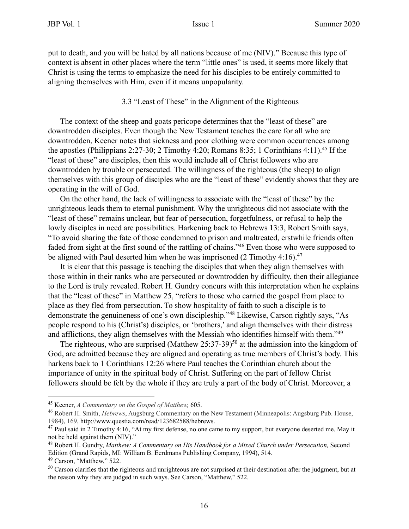put to death, and you will be hated by all nations because of me (NIV)." Because this type of context is absent in other places where the term "little ones" is used, it seems more likely that Christ is using the terms to emphasize the need for his disciples to be entirely committed to aligning themselves with Him, even if it means unpopularity.

#### 3.3 "Least of These" in the Alignment of the Righteous

The context of the sheep and goats pericope determines that the "least of these" are downtrodden disciples. Even though the New Testament teaches the care for all who are downtrodden, Keener notes that sickness and poor clothing were common occurrences among the apostles (Philippians 2:27-30; 2 Timothy 4:20; Romans 8:35; 1 Corinthians 4:11).<sup>45</sup> If the "least of these" are disciples, then this would include all of Christ followers who are downtrodden by trouble or persecuted. The willingness of the righteous (the sheep) to align themselves with this group of disciples who are the "least of these" evidently shows that they are operating in the will of God.

On the other hand, the lack of willingness to associate with the "least of these" by the unrighteous leads them to eternal punishment. Why the unrighteous did not associate with the "least of these" remains unclear, but fear of persecution, forgetfulness, or refusal to help the lowly disciples in need are possibilities. Harkening back to Hebrews 13:3, Robert Smith says, "To avoid sharing the fate of those condemned to prison and maltreated, erstwhile friends often faded from sight at the first sound of the rattling of chains."46 Even those who were supposed to be aligned with Paul deserted him when he was imprisoned (2 Timothy 4:16).<sup>47</sup>

It is clear that this passage is teaching the disciples that when they align themselves with those within in their ranks who are persecuted or downtrodden by difficulty, then their allegiance to the Lord is truly revealed. Robert H. Gundry concurs with this interpretation when he explains that the "least of these" in Matthew 25, "refers to those who carried the gospel from place to place as they fled from persecution. To show hospitality of faith to such a disciple is to demonstrate the genuineness of one's own discipleship."48 Likewise, Carson rightly says, "As people respond to his (Christ's) disciples, or 'brothers,' and align themselves with their distress and afflictions, they align themselves with the Messiah who identifies himself with them."49

The righteous, who are surprised (Matthew  $25:37-39$ )<sup>50</sup> at the admission into the kingdom of God, are admitted because they are aligned and operating as true members of Christ's body. This harkens back to 1 Corinthians 12:26 where Paul teaches the Corinthian church about the importance of unity in the spiritual body of Christ. Suffering on the part of fellow Christ followers should be felt by the whole if they are truly a part of the body of Christ. Moreover, a

<sup>45</sup> Keener, *A Commentary on the Gospel of Matthew,* 605.

<sup>46</sup> Robert H. Smith, *Hebrews*, Augsburg Commentary on the New Testament (Minneapolis: Augsburg Pub. House, 1984), 169, http://www.questia.com/read/123682588/hebrews.

 $47$  Paul said in 2 Timothy 4:16, "At my first defense, no one came to my support, but everyone deserted me. May it not be held against them (NIV)."

<sup>48</sup> Robert H. Gundry, *Matthew: A Commentary on His Handbook for a Mixed Church under Persecution,* Second Edition (Grand Rapids, MI: William B. Eerdmans Publishing Company, 1994), 514.

 $49$  Carson, "Matthew," 522.

<sup>&</sup>lt;sup>50</sup> Carson clarifies that the righteous and unrighteous are not surprised at their destination after the judgment, but at the reason why they are judged in such ways. See Carson, "Matthew," 522.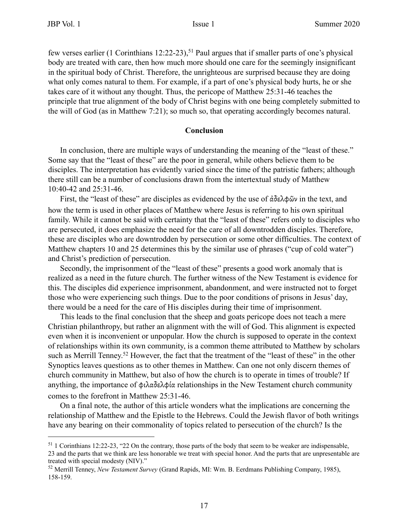few verses earlier (1 Corinthians 12:22-23),<sup>51</sup> Paul argues that if smaller parts of one's physical body are treated with care, then how much more should one care for the seemingly insignificant in the spiritual body of Christ. Therefore, the unrighteous are surprised because they are doing what only comes natural to them. For example, if a part of one's physical body hurts, he or she takes care of it without any thought. Thus, the pericope of Matthew 25:31-46 teaches the principle that true alignment of the body of Christ begins with one being completely submitted to the will of God (as in Matthew 7:21); so much so, that operating accordingly becomes natural.

#### **Conclusion**

In conclusion, there are multiple ways of understanding the meaning of the "least of these." Some say that the "least of these" are the poor in general, while others believe them to be disciples. The interpretation has evidently varied since the time of the patristic fathers; although there still can be a number of conclusions drawn from the intertextual study of Matthew 10:40-42 and 25:31-46.

First, the "least of these" are disciples as evidenced by the use of ἀδελφῶν in the text, and how the term is used in other places of Matthew where Jesus is referring to his own spiritual family. While it cannot be said with certainty that the "least of these" refers only to disciples who are persecuted, it does emphasize the need for the care of all downtrodden disciples. Therefore, these are disciples who are downtrodden by persecution or some other difficulties. The context of Matthew chapters 10 and 25 determines this by the similar use of phrases ("cup of cold water") and Christ's prediction of persecution.

Secondly, the imprisonment of the "least of these" presents a good work anomaly that is realized as a need in the future church. The further witness of the New Testament is evidence for this. The disciples did experience imprisonment, abandonment, and were instructed not to forget those who were experiencing such things. Due to the poor conditions of prisons in Jesus' day, there would be a need for the care of His disciples during their time of imprisonment.

This leads to the final conclusion that the sheep and goats pericope does not teach a mere Christian philanthropy, but rather an alignment with the will of God. This alignment is expected even when it is inconvenient or unpopular. How the church is supposed to operate in the context of relationships within its own community, is a common theme attributed to Matthew by scholars such as Merrill Tenney.<sup>52</sup> However, the fact that the treatment of the "least of these" in the other Synoptics leaves questions as to other themes in Matthew. Can one not only discern themes of church community in Matthew, but also of how the church is to operate in times of trouble? If anything, the importance of φιλαδελφία relationships in the New Testament church community comes to the forefront in Matthew 25:31-46.

On a final note, the author of this article wonders what the implications are concerning the relationship of Matthew and the Epistle to the Hebrews. Could the Jewish flavor of both writings have any bearing on their commonality of topics related to persecution of the church? Is the

<sup>51 1</sup> Corinthians 12:22-23, "22 On the contrary, those parts of the body that seem to be weaker are indispensable, 23 and the parts that we think are less honorable we treat with special honor. And the parts that are unpresentable are treated with special modesty (NIV)."

<sup>52</sup> Merrill Tenney, *New Testament Survey* (Grand Rapids, MI: Wm. B. Eerdmans Publishing Company, 1985), 158-159.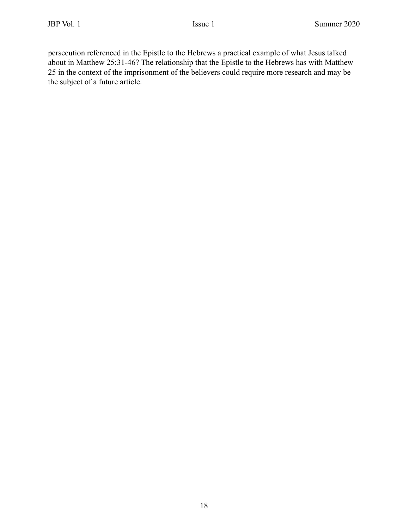persecution referenced in the Epistle to the Hebrews a practical example of what Jesus talked about in Matthew 25:31-46? The relationship that the Epistle to the Hebrews has with Matthew 25 in the context of the imprisonment of the believers could require more research and may be the subject of a future article.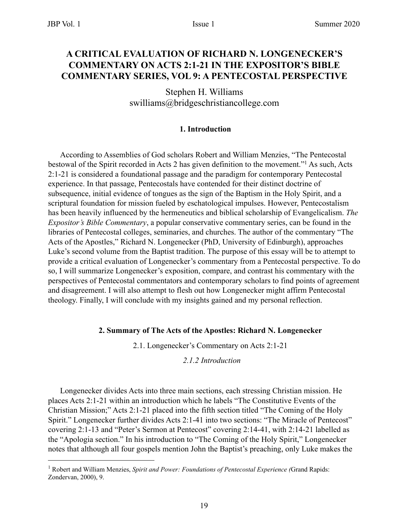#### **A CRITICAL EVALUATION OF RICHARD N. LONGENECKER'S COMMENTARY ON ACTS 2:1-21 IN THE EXPOSITOR'S BIBLE COMMENTARY SERIES, VOL 9: A PENTECOSTAL PERSPECTIVE**

Stephen H. Williams swilliams@bridgeschristiancollege.com

#### **1. Introduction**

According to Assemblies of God scholars Robert and William Menzies, "The Pentecostal bestowal of the Spirit recorded in Acts 2 has given definition to the movement."1 As such, Acts 2:1-21 is considered a foundational passage and the paradigm for contemporary Pentecostal experience. In that passage, Pentecostals have contended for their distinct doctrine of subsequence, initial evidence of tongues as the sign of the Baptism in the Holy Spirit, and a scriptural foundation for mission fueled by eschatological impulses. However, Pentecostalism has been heavily influenced by the hermeneutics and biblical scholarship of Evangelicalism. *The Expositor's Bible Commentary*, a popular conservative commentary series, can be found in the libraries of Pentecostal colleges, seminaries, and churches. The author of the commentary "The Acts of the Apostles," Richard N. Longenecker (PhD, University of Edinburgh), approaches Luke's second volume from the Baptist tradition. The purpose of this essay will be to attempt to provide a critical evaluation of Longenecker's commentary from a Pentecostal perspective. To do so, I will summarize Longenecker's exposition, compare, and contrast his commentary with the perspectives of Pentecostal commentators and contemporary scholars to find points of agreement and disagreement. I will also attempt to flesh out how Longenecker might affirm Pentecostal theology. Finally, I will conclude with my insights gained and my personal reflection.

#### **2. Summary of The Acts of the Apostles: Richard N. Longenecker**

2.1. Longenecker's Commentary on Acts 2:1-21

#### *2.1.2 Introduction*

Longenecker divides Acts into three main sections, each stressing Christian mission. He places Acts 2:1-21 within an introduction which he labels "The Constitutive Events of the Christian Mission;" Acts 2:1-21 placed into the fifth section titled "The Coming of the Holy Spirit." Longenecker further divides Acts 2:1-41 into two sections: "The Miracle of Pentecost" covering 2:1-13 and "Peter's Sermon at Pentecost" covering 2:14-41, with 2:14-21 labelled as the "Apologia section." In his introduction to "The Coming of the Holy Spirit," Longenecker notes that although all four gospels mention John the Baptist's preaching, only Luke makes the

<sup>&</sup>lt;sup>1</sup> Robert and William Menzies, *Spirit and Power: Foundations of Pentecostal Experience (Grand Rapids:* Zondervan, 2000), 9.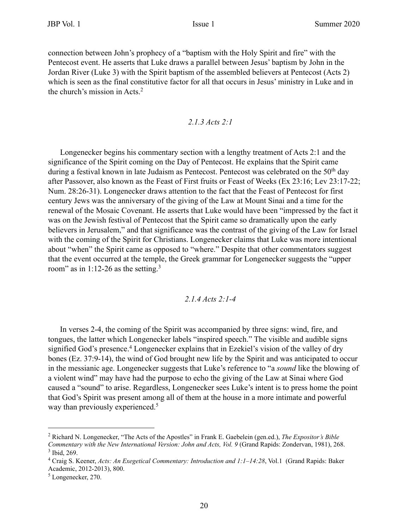connection between John's prophecy of a "baptism with the Holy Spirit and fire" with the Pentecost event. He asserts that Luke draws a parallel between Jesus' baptism by John in the Jordan River (Luke 3) with the Spirit baptism of the assembled believers at Pentecost (Acts 2) which is seen as the final constitutive factor for all that occurs in Jesus' ministry in Luke and in the church's mission in Acts.2

#### *2.1.3 Acts 2:1*

Longenecker begins his commentary section with a lengthy treatment of Acts 2:1 and the significance of the Spirit coming on the Day of Pentecost. He explains that the Spirit came during a festival known in late Judaism as Pentecost. Pentecost was celebrated on the 50<sup>th</sup> day after Passover, also known as the Feast of First fruits or Feast of Weeks (Ex 23:16; Lev 23:17-22; Num. 28:26-31). Longenecker draws attention to the fact that the Feast of Pentecost for first century Jews was the anniversary of the giving of the Law at Mount Sinai and a time for the renewal of the Mosaic Covenant. He asserts that Luke would have been "impressed by the fact it was on the Jewish festival of Pentecost that the Spirit came so dramatically upon the early believers in Jerusalem," and that significance was the contrast of the giving of the Law for Israel with the coming of the Spirit for Christians. Longenecker claims that Luke was more intentional about "when" the Spirit came as opposed to "where." Despite that other commentators suggest that the event occurred at the temple, the Greek grammar for Longenecker suggests the "upper room" as in 1:12-26 as the setting.<sup>3</sup>

#### *2.1.4 Acts 2:1-4*

In verses 2-4, the coming of the Spirit was accompanied by three signs: wind, fire, and tongues, the latter which Longenecker labels "inspired speech." The visible and audible signs signified God's presence.<sup>4</sup> Longenecker explains that in Ezekiel's vision of the valley of dry bones (Ez. 37:9-14), the wind of God brought new life by the Spirit and was anticipated to occur in the messianic age. Longenecker suggests that Luke's reference to "a *sound* like the blowing of a violent wind" may have had the purpose to echo the giving of the Law at Sinai where God caused a "sound" to arise. Regardless, Longenecker sees Luke's intent is to press home the point that God's Spirit was present among all of them at the house in a more intimate and powerful way than previously experienced.<sup>5</sup>

<sup>2</sup> Richard N. Longenecker, "The Acts of the Apostles" in Frank E. Gaebelein (gen.ed.), *The Expositor's Bible Commentary with the New International Version: John and Acts, Vol. 9* (Grand Rapids: Zondervan, 1981), 268.  $3$  Ibid, 269.

<sup>4</sup> Craig S. Keener, *Acts: An Exegetical Commentary: Introduction and 1:1–14:28*, Vol.1 (Grand Rapids: Baker Academic, 2012-2013), 800.

<sup>5</sup> Longenecker, 270.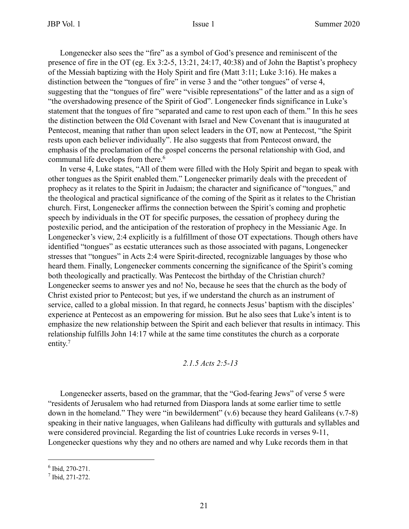Longenecker also sees the "fire" as a symbol of God's presence and reminiscent of the presence of fire in the OT (eg. Ex 3:2-5, 13:21, 24:17, 40:38) and of John the Baptist's prophecy of the Messiah baptizing with the Holy Spirit and fire (Matt 3:11; Luke 3:16). He makes a distinction between the "tongues of fire" in verse 3 and the "other tongues" of verse 4, suggesting that the "tongues of fire" were "visible representations" of the latter and as a sign of "the overshadowing presence of the Spirit of God". Longenecker finds significance in Luke's statement that the tongues of fire "separated and came to rest upon each of them." In this he sees the distinction between the Old Covenant with Israel and New Covenant that is inaugurated at Pentecost, meaning that rather than upon select leaders in the OT, now at Pentecost, "the Spirit rests upon each believer individually". He also suggests that from Pentecost onward, the emphasis of the proclamation of the gospel concerns the personal relationship with God, and communal life develops from there.<sup>6</sup>

In verse 4, Luke states, "All of them were filled with the Holy Spirit and began to speak with other tongues as the Spirit enabled them." Longenecker primarily deals with the precedent of prophecy as it relates to the Spirit in Judaism; the character and significance of "tongues," and the theological and practical significance of the coming of the Spirit as it relates to the Christian church. First, Longenecker affirms the connection between the Spirit's coming and prophetic speech by individuals in the OT for specific purposes, the cessation of prophecy during the postexilic period, and the anticipation of the restoration of prophecy in the Messianic Age. In Longenecker's view, 2:4 explicitly is a fulfillment of those OT expectations. Though others have identified "tongues" as ecstatic utterances such as those associated with pagans, Longenecker stresses that "tongues" in Acts 2:4 were Spirit-directed, recognizable languages by those who heard them. Finally, Longenecker comments concerning the significance of the Spirit's coming both theologically and practically. Was Pentecost the birthday of the Christian church? Longenecker seems to answer yes and no! No, because he sees that the church as the body of Christ existed prior to Pentecost; but yes, if we understand the church as an instrument of service, called to a global mission. In that regard, he connects Jesus' baptism with the disciples' experience at Pentecost as an empowering for mission. But he also sees that Luke's intent is to emphasize the new relationship between the Spirit and each believer that results in intimacy. This relationship fulfills John 14:17 while at the same time constitutes the church as a corporate entity.<sup>7</sup>

#### *2.1.5 Acts 2:5-13*

Longenecker asserts, based on the grammar, that the "God-fearing Jews" of verse 5 were "residents of Jerusalem who had returned from Diaspora lands at some earlier time to settle down in the homeland." They were "in bewilderment" (v.6) because they heard Galileans (v.7-8) speaking in their native languages, when Galileans had difficulty with gutturals and syllables and were considered provincial. Regarding the list of countries Luke records in verses 9-11, Longenecker questions why they and no others are named and why Luke records them in that

<sup>6</sup> Ibid, 270-271.

<sup>7</sup> Ibid, 271-272.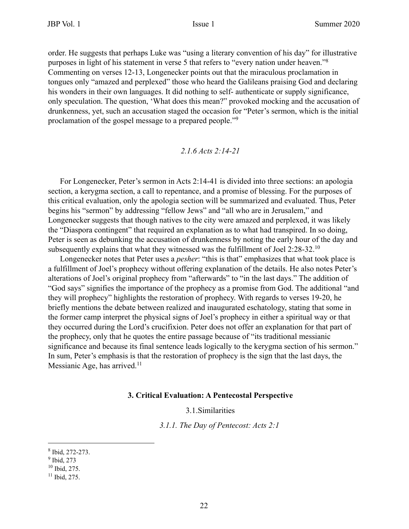order. He suggests that perhaps Luke was "using a literary convention of his day" for illustrative purposes in light of his statement in verse 5 that refers to "every nation under heaven."8 Commenting on verses 12-13, Longenecker points out that the miraculous proclamation in tongues only "amazed and perplexed" those who heard the Galileans praising God and declaring his wonders in their own languages. It did nothing to self- authenticate or supply significance, only speculation. The question, 'What does this mean?" provoked mocking and the accusation of drunkenness, yet, such an accusation staged the occasion for "Peter's sermon, which is the initial proclamation of the gospel message to a prepared people."9

#### *2.1.6 Acts 2:14-21*

For Longenecker, Peter's sermon in Acts 2:14-41 is divided into three sections: an apologia section, a kerygma section, a call to repentance, and a promise of blessing. For the purposes of this critical evaluation, only the apologia section will be summarized and evaluated. Thus, Peter begins his "sermon" by addressing "fellow Jews" and "all who are in Jerusalem," and Longenecker suggests that though natives to the city were amazed and perplexed, it was likely the "Diaspora contingent" that required an explanation as to what had transpired. In so doing, Peter is seen as debunking the accusation of drunkenness by noting the early hour of the day and subsequently explains that what they witnessed was the fulfillment of Joel 2:28-32.<sup>10</sup>

Longenecker notes that Peter uses a *pesher*: "this is that" emphasizes that what took place is a fulfillment of Joel's prophecy without offering explanation of the details. He also notes Peter's alterations of Joel's original prophecy from "afterwards" to "in the last days." The addition of "God says" signifies the importance of the prophecy as a promise from God. The additional "and they will prophecy" highlights the restoration of prophecy. With regards to verses 19-20, he briefly mentions the debate between realized and inaugurated eschatology, stating that some in the former camp interpret the physical signs of Joel's prophecy in either a spiritual way or that they occurred during the Lord's crucifixion. Peter does not offer an explanation for that part of the prophecy, only that he quotes the entire passage because of "its traditional messianic significance and because its final sentence leads logically to the kerygma section of his sermon." In sum, Peter's emphasis is that the restoration of prophecy is the sign that the last days, the Messianic Age, has arrived.<sup>11</sup>

#### **3. Critical Evaluation: A Pentecostal Perspective**

3.1.Similarities

*3.1.1. The Day of Pentecost: Acts 2:1*

<sup>8</sup> Ibid, 272-273.

<sup>&</sup>lt;sup>9</sup> Ibid, 273

<sup>10</sup> Ibid, 275.

 $11$  Ibid, 275.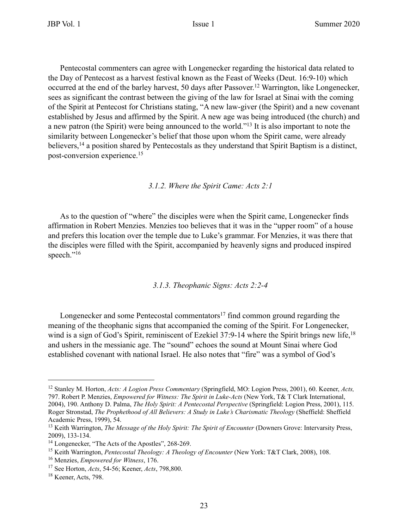Pentecostal commenters can agree with Longenecker regarding the historical data related to the Day of Pentecost as a harvest festival known as the Feast of Weeks (Deut. 16:9-10) which occurred at the end of the barley harvest, 50 days after Passover.12 Warrington, like Longenecker, sees as significant the contrast between the giving of the law for Israel at Sinai with the coming of the Spirit at Pentecost for Christians stating, "A new law-giver (the Spirit) and a new covenant established by Jesus and affirmed by the Spirit. A new age was being introduced (the church) and a new patron (the Spirit) were being announced to the world."13 It is also important to note the similarity between Longenecker's belief that those upon whom the Spirit came, were already believers,<sup>14</sup> a position shared by Pentecostals as they understand that Spirit Baptism is a distinct, post-conversion experience.15

*3.1.2. Where the Spirit Came: Acts 2:1*

As to the question of "where" the disciples were when the Spirit came, Longenecker finds affirmation in Robert Menzies. Menzies too believes that it was in the "upper room" of a house and prefers this location over the temple due to Luke's grammar. For Menzies, it was there that the disciples were filled with the Spirit, accompanied by heavenly signs and produced inspired speech."<sup>16</sup>

#### *3.1.3. Theophanic Signs: Acts 2:2-4*

Longenecker and some Pentecostal commentators $17$  find common ground regarding the meaning of the theophanic signs that accompanied the coming of the Spirit. For Longenecker, wind is a sign of God's Spirit, reminiscent of Ezekiel 37:9-14 where the Spirit brings new life,<sup>18</sup> and ushers in the messianic age. The "sound" echoes the sound at Mount Sinai where God established covenant with national Israel. He also notes that "fire" was a symbol of God's

<sup>12</sup> Stanley M. Horton, *Acts: A Logion Press Commentary* (Springfield, MO: Logion Press, 2001), 60. Keener, *Acts,*  797. Robert P. Menzies, *Empowered for Witness: The Spirit in Luke-Acts* (New York, T& T Clark International, 2004), 190. Anthony D. Palma, *The Holy Spirit: A Pentecostal Perspective* (Springfield: Logion Press, 2001), 115. Roger Stronstad, *The Prophethood of All Believers: A Study in Luke's Charismatic Theology* (Sheffield: Sheffield Academic Press, 1999), 54.

<sup>&</sup>lt;sup>13</sup> Keith Warrington, *The Message of the Holy Spirit: The Spirit of Encounter* (Downers Grove: Intervarsity Press, 2009), 133-134.

<sup>&</sup>lt;sup>14</sup> Longenecker, "The Acts of the Apostles", 268-269.

<sup>&</sup>lt;sup>15</sup> Keith Warrington, *Pentecostal Theology: A Theology of Encounter* (New York: T&T Clark, 2008), 108.

<sup>16</sup> Menzies, *Empowered for Witness*, 176.

<sup>17</sup> See Horton, *Acts*, 54-56; Keener, *Acts*, 798,800.

<sup>18</sup> Keener, Acts, 798.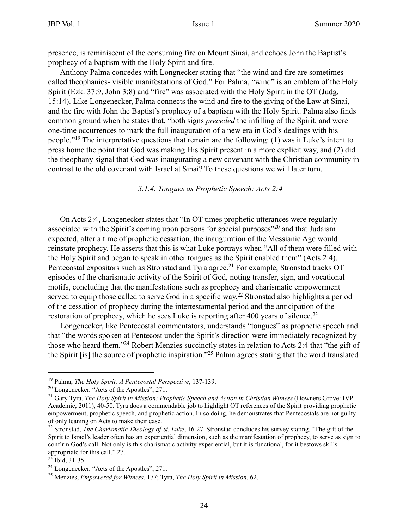presence, is reminiscent of the consuming fire on Mount Sinai, and echoes John the Baptist's prophecy of a baptism with the Holy Spirit and fire.

Anthony Palma concedes with Longnecker stating that "the wind and fire are sometimes called theophanies- visible manifestations of God." For Palma, "wind" is an emblem of the Holy Spirit (Ezk. 37:9, John 3:8) and "fire" was associated with the Holy Spirit in the OT (Judg. 15:14). Like Longenecker, Palma connects the wind and fire to the giving of the Law at Sinai, and the fire with John the Baptist's prophecy of a baptism with the Holy Spirit. Palma also finds common ground when he states that, "both signs *preceded* the infilling of the Spirit, and were one-time occurrences to mark the full inauguration of a new era in God's dealings with his people."19 The interpretative questions that remain are the following: (1) was it Luke's intent to press home the point that God was making His Spirit present in a more explicit way, and (2) did the theophany signal that God was inaugurating a new covenant with the Christian community in contrast to the old covenant with Israel at Sinai? To these questions we will later turn.

*3.1.4. Tongues as Prophetic Speech: Acts 2:4*

On Acts 2:4, Longenecker states that "In OT times prophetic utterances were regularly associated with the Spirit's coming upon persons for special purposes"20 and that Judaism expected, after a time of prophetic cessation, the inauguration of the Messianic Age would reinstate prophecy. He asserts that this is what Luke portrays when "All of them were filled with the Holy Spirit and began to speak in other tongues as the Spirit enabled them" (Acts 2:4). Pentecostal expositors such as Stronstad and Tyra agree.<sup>21</sup> For example, Stronstad tracks OT episodes of the charismatic activity of the Spirit of God, noting transfer, sign, and vocational motifs, concluding that the manifestations such as prophecy and charismatic empowerment served to equip those called to serve God in a specific way.<sup>22</sup> Stronstad also highlights a period of the cessation of prophecy during the intertestamental period and the anticipation of the restoration of prophecy, which he sees Luke is reporting after 400 years of silence.<sup>23</sup>

Longenecker, like Pentecostal commentators, understands "tongues" as prophetic speech and that "the words spoken at Pentecost under the Spirit's direction were immediately recognized by those who heard them."24 Robert Menzies succinctly states in relation to Acts 2:4 that "the gift of the Spirit [is] the source of prophetic inspiration."25 Palma agrees stating that the word translated

<sup>19</sup> Palma, *The Holy Spirit: A Pentecostal Perspective*, 137-139.

<sup>20</sup> Longenecker, "Acts of the Apostles", 271.

<sup>21</sup> Gary Tyra, *The Holy Spirit in Mission: Prophetic Speech and Action in Christian Witness* (Downers Grove: IVP Academic, 2011), 40-50. Tyra does a commendable job to highlight OT references of the Spirit providing prophetic empowerment, prophetic speech, and prophetic action. In so doing, he demonstrates that Pentecostals are not guilty of only leaning on Acts to make their case.

<sup>22</sup> Stronstad, *The Charismatic Theology of St. Luke*, 16-27. Stronstad concludes his survey stating, "The gift of the Spirit to Israel's leader often has an experiential dimension, such as the manifestation of prophecy, to serve as sign to confirm God's call. Not only is this charismatic activity experiential, but it is functional, for it bestows skills appropriate for this call." 27.

 $^{23}$  Ibid, 31-35.

<sup>24</sup> Longenecker, "Acts of the Apostles", 271.

<sup>25</sup> Menzies, *Empowered for Witness*, 177; Tyra, *The Holy Spirit in Mission*, 62.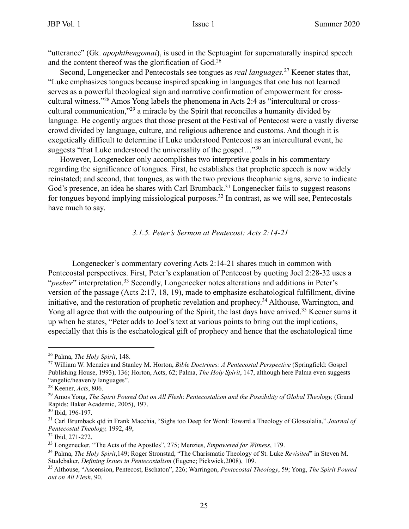"utterance" (Gk. *apophthengomai*), is used in the Septuagint for supernaturally inspired speech and the content thereof was the glorification of God.26

Second, Longenecker and Pentecostals see tongues as *real languages.*27 Keener states that, "Luke emphasizes tongues because inspired speaking in languages that one has not learned serves as a powerful theological sign and narrative confirmation of empowerment for crosscultural witness."28 Amos Yong labels the phenomena in Acts 2:4 as "intercultural or crosscultural communication,"29 a miracle by the Spirit that reconciles a humanity divided by language. He cogently argues that those present at the Festival of Pentecost were a vastly diverse crowd divided by language, culture, and religious adherence and customs. And though it is exegetically difficult to determine if Luke understood Pentecost as an intercultural event, he suggests "that Luke understood the universality of the gospel..."<sup>30</sup>

However, Longenecker only accomplishes two interpretive goals in his commentary regarding the significance of tongues. First, he establishes that prophetic speech is now widely reinstated; and second, that tongues, as with the two previous theophanic signs, serve to indicate God's presence, an idea he shares with Carl Brumback.<sup>31</sup> Longenecker fails to suggest reasons for tongues beyond implying missiological purposes.<sup>32</sup> In contrast, as we will see, Pentecostals have much to say.

#### *3.1.5. Peter's Sermon at Pentecost: Acts 2:14-21*

Longenecker's commentary covering Acts 2:14-21 shares much in common with Pentecostal perspectives. First, Peter's explanation of Pentecost by quoting Joel 2:28-32 uses a "*pesher*" interpretation.<sup>33</sup> Secondly, Longenecker notes alterations and additions in Peter's version of the passage (Acts 2:17, 18, 19), made to emphasize eschatological fulfillment, divine initiative, and the restoration of prophetic revelation and prophecy.<sup>34</sup> Althouse, Warrington, and Yong all agree that with the outpouring of the Spirit, the last days have arrived.<sup>35</sup> Keener sums it up when he states, "Peter adds to Joel's text at various points to bring out the implications, especially that this is the eschatological gift of prophecy and hence that the eschatological time

<sup>26</sup> Palma, *The Holy Spirit*, 148.

<sup>27</sup> William W. Menzies and Stanley M. Horton, *Bible Doctrines: A Pentecostal Perspective* (Springfield: Gospel Publishing House, 1993), 136; Horton, Acts, 62; Palma, *The Holy Spirit*, 147, although here Palma even suggests "angelic/heavenly languages".

<sup>28</sup> Keener, *Acts*, 806.

<sup>29</sup> Amos Yong, *The Spirit Poured Out on All Flesh*: *Pentecostalism and the Possibility of Global Theology,* (Grand Rapids: Baker Academic, 2005), 197.

<sup>30</sup> Ibid, 196-197.

<sup>31</sup> Carl Brumback qtd in Frank Macchia, "Sighs too Deep for Word: Toward a Theology of Glossolalia," *Journal of Pentecostal Theology,* 1992, 49,

<sup>32</sup> Ibid, 271-272.

<sup>33</sup> Longenecker, "The Acts of the Apostles", 275; Menzies, *Empowered for Witness*, 179.

<sup>34</sup> Palma, *The Holy Spirit*,149; Roger Stronstad, "The Charismatic Theology of St. Luke *Revisited*" in Steven M. Studebaker, *Defining Issues in Pentecostalism* (Eugene; Pickwick,2008), 109.

<sup>35</sup> Althouse, "Ascension, Pentecost, Eschaton", 226; Warringon, *Pentecostal Theology*, 59; Yong, *The Spirit Poured out on All Flesh*, 90.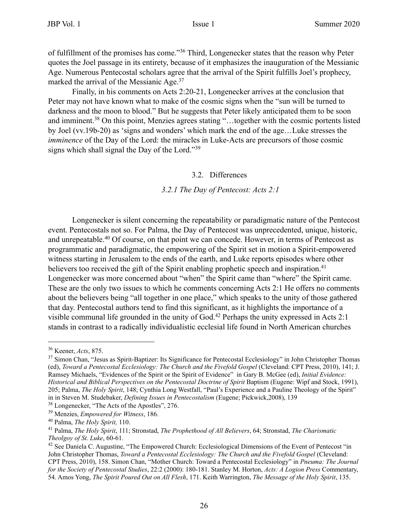of fulfillment of the promises has come."36 Third, Longenecker states that the reason why Peter quotes the Joel passage in its entirety, because of it emphasizes the inauguration of the Messianic Age. Numerous Pentecostal scholars agree that the arrival of the Spirit fulfills Joel's prophecy, marked the arrival of the Messianic Age.<sup>37</sup>

Finally, in his comments on Acts 2:20-21, Longenecker arrives at the conclusion that Peter may not have known what to make of the cosmic signs when the "sun will be turned to darkness and the moon to blood." But he suggests that Peter likely anticipated them to be soon and imminent.38 On this point, Menzies agrees stating "…together with the cosmic portents listed by Joel (vv.19b-20) as 'signs and wonders' which mark the end of the age…Luke stresses the *imminence* of the Day of the Lord: the miracles in Luke-Acts are precursors of those cosmic signs which shall signal the Day of the Lord."39

#### 3.2. Differences

#### *3.2.1 The Day of Pentecost: Acts 2:1*

Longenecker is silent concerning the repeatability or paradigmatic nature of the Pentecost event. Pentecostals not so. For Palma, the Day of Pentecost was unprecedented, unique, historic, and unrepeatable.<sup>40</sup> Of course, on that point we can concede. However, in terms of Pentecost as programmatic and paradigmatic, the empowering of the Spirit set in motion a Spirit-empowered witness starting in Jerusalem to the ends of the earth, and Luke reports episodes where other believers too received the gift of the Spirit enabling prophetic speech and inspiration.<sup>41</sup> Longenecker was more concerned about "when" the Spirit came than "where" the Spirit came. These are the only two issues to which he comments concerning Acts 2:1 He offers no comments about the believers being "all together in one place," which speaks to the unity of those gathered that day. Pentecostal authors tend to find this significant, as it highlights the importance of a visible communal life grounded in the unity of God.42 Perhaps the unity expressed in Acts 2:1 stands in contrast to a radically individualistic ecclesial life found in North American churches

<sup>36</sup> Keener, *Acts*, 875.

<sup>&</sup>lt;sup>37</sup> Simon Chan, "Jesus as Spirit-Baptizer: Its Significance for Pentecostal Ecclesiology" in John Christopher Thomas (ed), *Toward a Pentecostal Ecclesiology: The Church and the Fivefold Gospel* (Cleveland: CPT Press, 2010), 141; J. Ramsey Michaels, "Evidences of the Spirit or the Spirit of Evidence" in Gary B. McGee (ed), *Initial Evidence: Historical and Biblical Perspectives on the Pentecostal Doctrine of Spirit Baptism (Eugene: Wipf and Stock, 1991),* 205; Palma, *The Holy Spirit*, 148; Cynthia Long Westfall, "Paul's Experience and a Pauline Theology of the Spirit" in in Steven M. Studebaker, *Defining Issues in Pentecostalism* (Eugene; Pickwick,2008), 139

<sup>38</sup> Longenecker, "The Acts of the Apostles", 276.

<sup>39</sup> Menzies, *Empowered for Witness*, 186.

<sup>40</sup> Palma, *The Holy Spirit,* 110.

<sup>41</sup> Palma, *The Holy Spirit*, 111; Stronstad, *The Prophethood of All Believers*, 64; Stronstad, *The Charismatic Theolgoy of St. Luke*, 60-61.

<sup>&</sup>lt;sup>42</sup> See Daniela C. Augustine, "The Empowered Church: Ecclesiological Dimensions of the Event of Pentecost "in John Christopher Thomas, *Toward a Pentecostal Ecclesiology: The Church and the Fivefold Gospel* (Cleveland: CPT Press, 2010), 158. Simon Chan, "Mother Church: Toward a Pentecostal Ecclesiology" in *Pneuma: The Journal for the Society of Pentecostal Studies*, 22:2 (2000): 180-181. Stanley M. Horton, *Acts: A Logion Press* Commentary, 54. Amos Yong, *The Spirit Poured Out on All Flesh*, 171. Keith Warrington, *The Message of the Holy Spirit*, 135.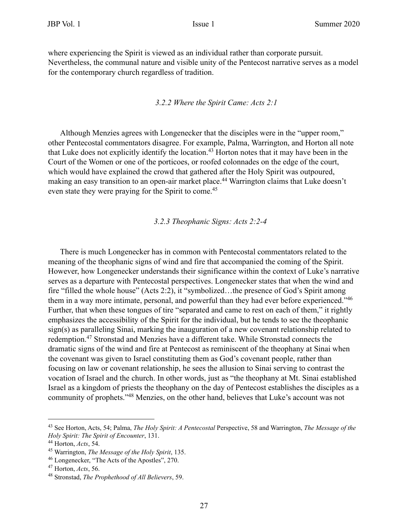where experiencing the Spirit is viewed as an individual rather than corporate pursuit. Nevertheless, the communal nature and visible unity of the Pentecost narrative serves as a model for the contemporary church regardless of tradition.

#### *3.2.2 Where the Spirit Came: Acts 2:1*

Although Menzies agrees with Longenecker that the disciples were in the "upper room," other Pentecostal commentators disagree. For example, Palma, Warrington, and Horton all note that Luke does not explicitly identify the location.43 Horton notes that it may have been in the Court of the Women or one of the porticoes, or roofed colonnades on the edge of the court, which would have explained the crowd that gathered after the Holy Spirit was outpoured, making an easy transition to an open-air market place.<sup>44</sup> Warrington claims that Luke doesn't even state they were praying for the Spirit to come.<sup>45</sup>

#### *3.2.3 Theophanic Signs: Acts 2:2-4*

There is much Longenecker has in common with Pentecostal commentators related to the meaning of the theophanic signs of wind and fire that accompanied the coming of the Spirit. However, how Longenecker understands their significance within the context of Luke's narrative serves as a departure with Pentecostal perspectives. Longenecker states that when the wind and fire "filled the whole house" (Acts 2:2), it "symbolized…the presence of God's Spirit among them in a way more intimate, personal, and powerful than they had ever before experienced."<sup>46</sup> Further, that when these tongues of tire "separated and came to rest on each of them," it rightly emphasizes the accessibility of the Spirit for the individual, but he tends to see the theophanic sign(s) as paralleling Sinai, marking the inauguration of a new covenant relationship related to redemption.47 Stronstad and Menzies have a different take. While Stronstad connects the dramatic signs of the wind and fire at Pentecost as reminiscent of the theophany at Sinai when the covenant was given to Israel constituting them as God's covenant people, rather than focusing on law or covenant relationship, he sees the allusion to Sinai serving to contrast the vocation of Israel and the church. In other words, just as "the theophany at Mt. Sinai established Israel as a kingdom of priests the theophany on the day of Pentecost establishes the disciples as a community of prophets."48 Menzies, on the other hand, believes that Luke's account was not

<sup>43</sup> See Horton, Acts, 54; Palma, *The Holy Spirit: A Pentecostal* Perspective, 58 and Warrington, *The Message of the Holy Spirit: The Spirit of Encounter*, 131.

<sup>44</sup> Horton, *Acts*, 54.

<sup>45</sup> Warrington, *The Message of the Holy Spirit*, 135.

<sup>46</sup> Longenecker, "The Acts of the Apostles", 270.

<sup>47</sup> Horton, *Acts*, 56.

<sup>48</sup> Stronstad, *The Prophethood of All Believers*, 59.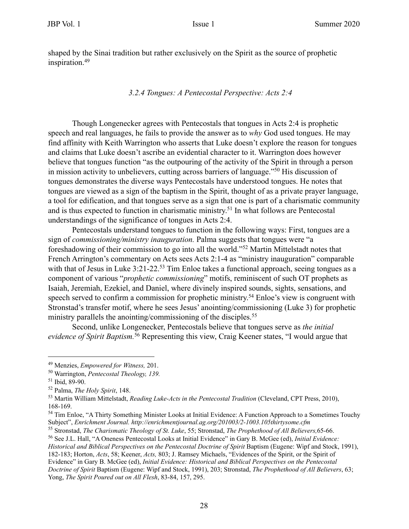shaped by the Sinai tradition but rather exclusively on the Spirit as the source of prophetic inspiration.49

*3.2.4 Tongues: A Pentecostal Perspective: Acts 2:4*

Though Longenecker agrees with Pentecostals that tongues in Acts 2:4 is prophetic speech and real languages, he fails to provide the answer as to *why* God used tongues. He may find affinity with Keith Warrington who asserts that Luke doesn't explore the reason for tongues and claims that Luke doesn't ascribe an evidential character to it. Warrington does however believe that tongues function "as the outpouring of the activity of the Spirit in through a person in mission activity to unbelievers, cutting across barriers of language."50 His discussion of tongues demonstrates the diverse ways Pentecostals have understood tongues. He notes that tongues are viewed as a sign of the baptism in the Spirit, thought of as a private prayer language, a tool for edification, and that tongues serve as a sign that one is part of a charismatic community and is thus expected to function in charismatic ministry.<sup>51</sup> In what follows are Pentecostal understandings of the significance of tongues in Acts 2:4.

Pentecostals understand tongues to function in the following ways: First, tongues are a sign of *commissioning/ministry inauguration.* Palma suggests that tongues were "a foreshadowing of their commission to go into all the world."52 Martin Mittelstadt notes that French Arrington's commentary on Acts sees Acts 2:1-4 as "ministry inauguration" comparable with that of Jesus in Luke 3:21-22.<sup>53</sup> Tim Enloe takes a functional approach, seeing tongues as a component of various "*prophetic commissioning*" motifs, reminiscent of such OT prophets as Isaiah, Jeremiah, Ezekiel, and Daniel, where divinely inspired sounds, sights, sensations, and speech served to confirm a commission for prophetic ministry.<sup>54</sup> Enloe's view is congruent with Stronstad's transfer motif, where he sees Jesus' anointing/commissioning (Luke 3) for prophetic ministry parallels the anointing/commissioning of the disciples.<sup>55</sup>

Second, unlike Longenecker, Pentecostals believe that tongues serve as *the initial evidence of Spirit Baptism.*56 Representing this view, Craig Keener states, "I would argue that

<sup>49</sup> Menzies, *Empowered for Witness,* 201.

<sup>50</sup> Warrington, *Pentecostal Theology, 139.*

<sup>51</sup> Ibid, 89-90.

<sup>52</sup> Palma, *The Holy Spirit*, 148.

<sup>53</sup> Martin William Mittelstadt, *Reading Luke-Acts in the Pentecostal Tradition* (Cleveland, CPT Press, 2010), 168-169.

<sup>&</sup>lt;sup>54</sup> Tim Enloe, "A Thirty Something Minister Looks at Initial Evidence: A Function Approach to a Sometimes Touchy Subject", *Enrichment Journal. http://enrichmentjournal.ag.org/201003/2-1003.105thirtysome.cfm*

<sup>55</sup> Stronstad, *The Charismatic Theology of St. Luke*, 55; Stronstad, *The Prophethood of All Believers,*65-66.

<sup>56</sup> See J.L. Hall, "A Oneness Pentecostal Looks at Initial Evidence" in Gary B. McGee (ed), *Initial Evidence: Historical and Biblical Perspectives on the Pentecostal Doctrine of Spirit Baptism (Eugene: Wipf and Stock, 1991),* 182-183; Horton, *Acts*, 58; Keener, *Acts,* 803; J. Ramsey Michaels, "Evidences of the Spirit, or the Spirit of Evidence" in Gary B. McGee (ed), *Initial Evidence: Historical and Biblical Perspectives on the Pentecostal Doctrine of Spirit* Baptism (Eugene: Wipf and Stock, 1991), 203; Stronstad, *The Prophethood of All Believers*, 63; Yong, *The Spirit Poured out on All Flesh*, 83-84, 157, 295.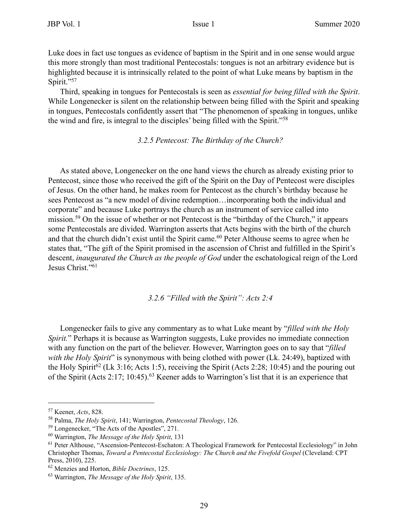Luke does in fact use tongues as evidence of baptism in the Spirit and in one sense would argue this more strongly than most traditional Pentecostals: tongues is not an arbitrary evidence but is highlighted because it is intrinsically related to the point of what Luke means by baptism in the Spirit."57

Third, speaking in tongues for Pentecostals is seen as *essential for being filled with the Spirit*. While Longenecker is silent on the relationship between being filled with the Spirit and speaking in tongues, Pentecostals confidently assert that "The phenomenon of speaking in tongues, unlike the wind and fire, is integral to the disciples' being filled with the Spirit."58

#### *3.2.5 Pentecost: The Birthday of the Church?*

As stated above, Longenecker on the one hand views the church as already existing prior to Pentecost, since those who received the gift of the Spirit on the Day of Pentecost were disciples of Jesus. On the other hand, he makes room for Pentecost as the church's birthday because he sees Pentecost as "a new model of divine redemption…incorporating both the individual and corporate" and because Luke portrays the church as an instrument of service called into mission.<sup>59</sup> On the issue of whether or not Pentecost is the "birthday of the Church," it appears some Pentecostals are divided. Warrington asserts that Acts begins with the birth of the church and that the church didn't exist until the Spirit came.<sup>60</sup> Peter Althouse seems to agree when he states that, "The gift of the Spirit promised in the ascension of Christ and fulfilled in the Spirit's descent, *inaugurated the Church as the people of God* under the eschatological reign of the Lord Jesus Christ."61

#### *3.2.6 "Filled with the Spirit": Acts 2:4*

Longenecker fails to give any commentary as to what Luke meant by "*filled with the Holy Spirit.*" Perhaps it is because as Warrington suggests, Luke provides no immediate connection with any function on the part of the believer. However, Warrington goes on to say that "*filled with the Holy Spirit*" is synonymous with being clothed with power (Lk. 24:49), baptized with the Holy Spirit<sup>62</sup> (Lk 3:16; Acts 1:5), receiving the Spirit (Acts 2:28; 10:45) and the pouring out of the Spirit (Acts 2:17; 10:45).63 Keener adds to Warrington's list that it is an experience that

<sup>57</sup> Keener, *Acts*, 828.

<sup>58</sup> Palma, *The Holy Spirit*, 141; Warrington, *Pentecostal Theology*, 126.

<sup>59</sup> Longenecker, "The Acts of the Apostles", 271.

<sup>60</sup> Warrington, *The Message of the Holy Spirit*, 131

<sup>&</sup>lt;sup>61</sup> Peter Althouse, "Ascension-Pentecost-Eschaton: A Theological Framework for Pentecostal Ecclesiology" in John Christopher Thomas, *Toward a Pentecostal Ecclesiology: The Church and the Fivefold Gospel* (Cleveland: CPT Press, 2010), 225.

<sup>62</sup> Menzies and Horton, *Bible Doctrines*, 125.

<sup>63</sup> Warrington, *The Message of the Holy Spirit*, 135.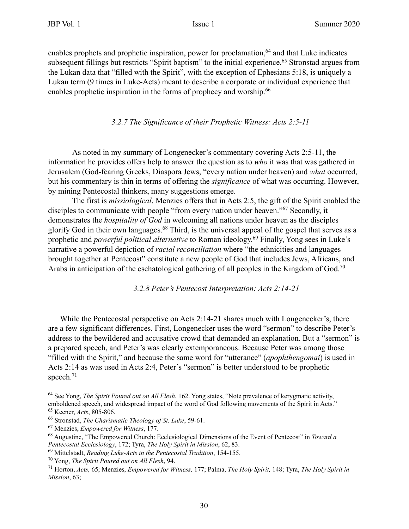enables prophets and prophetic inspiration, power for proclamation,<sup>64</sup> and that Luke indicates subsequent fillings but restricts "Spirit baptism" to the initial experience.<sup>65</sup> Stronstad argues from the Lukan data that "filled with the Spirit", with the exception of Ephesians 5:18, is uniquely a Lukan term (9 times in Luke-Acts) meant to describe a corporate or individual experience that enables prophetic inspiration in the forms of prophecy and worship.<sup>66</sup>

#### *3.2.7 The Significance of their Prophetic Witness: Acts 2:5-11*

As noted in my summary of Longenecker's commentary covering Acts 2:5-11, the information he provides offers help to answer the question as to *who* it was that was gathered in Jerusalem (God-fearing Greeks, Diaspora Jews, "every nation under heaven) and *what* occurred, but his commentary is thin in terms of offering the *significance* of what was occurring. However, by mining Pentecostal thinkers, many suggestions emerge.

The first is *missiological*. Menzies offers that in Acts 2:5, the gift of the Spirit enabled the disciples to communicate with people "from every nation under heaven."<sup>67</sup> Secondly, it demonstrates the *hospitality of God* in welcoming all nations under heaven as the disciples glorify God in their own languages.68 Third, is the universal appeal of the gospel that serves as a prophetic and *powerful political alternative* to Roman ideology.<sup>69</sup> Finally, Yong sees in Luke's narrative a powerful depiction of *racial reconciliation* where "the ethnicities and languages brought together at Pentecost" constitute a new people of God that includes Jews, Africans, and Arabs in anticipation of the eschatological gathering of all peoples in the Kingdom of God.<sup>70</sup>

*3.2.8 Peter's Pentecost Interpretation: Acts 2:14-21*

While the Pentecostal perspective on Acts 2:14-21 shares much with Longenecker's, there are a few significant differences. First, Longenecker uses the word "sermon" to describe Peter's address to the bewildered and accusative crowd that demanded an explanation. But a "sermon" is a prepared speech, and Peter's was clearly extemporaneous. Because Peter was among those "filled with the Spirit," and because the same word for "utterance" (*apophthengomai*) is used in Acts 2:14 as was used in Acts 2:4, Peter's "sermon" is better understood to be prophetic speech.<sup>71</sup>

<sup>64</sup> See Yong, *The Spirit Poured out on All Flesh*, 162. Yong states, "Note prevalence of kerygmatic activity, emboldened speech, and widespread impact of the word of God following movements of the Spirit in Acts." 65 Keener, *Acts*, 805-806.

<sup>66</sup> Stronstad, *The Charismatic Theology of St. Luke*, 59-61.

<sup>67</sup> Menzies, *Empowered for Witness*, 177.

<sup>68</sup> Augustine, "The Empowered Church: Ecclesiological Dimensions of the Event of Pentecost" in *Toward a Pentecostal Ecclesiology*, 172; Tyra, *The Holy Spirit in Mission*, 62, 83.

<sup>69</sup> Mittelstadt, *Reading Luke-Acts in the Pentecostal Tradition*, 154-155.

<sup>70</sup> Yong, *The Spirit Poured out on All Flesh*, 94.

<sup>71</sup> Horton, *Acts,* 65; Menzies, *Empowered for Witness,* 177; Palma, *The Holy Spirit,* 148; Tyra, *The Holy Spirit in Mission*, 63;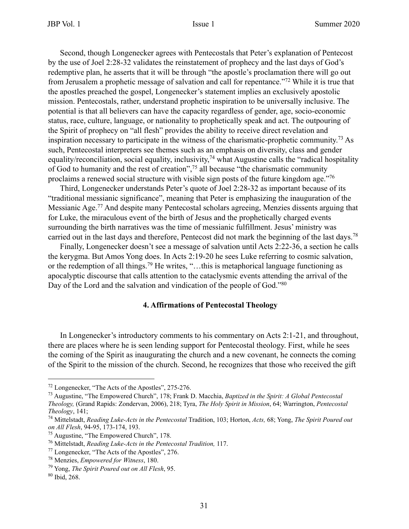Second, though Longenecker agrees with Pentecostals that Peter's explanation of Pentecost by the use of Joel 2:28-32 validates the reinstatement of prophecy and the last days of God's redemptive plan, he asserts that it will be through "the apostle's proclamation there will go out from Jerusalem a prophetic message of salvation and call for repentance."72 While it is true that the apostles preached the gospel, Longenecker's statement implies an exclusively apostolic mission. Pentecostals, rather, understand prophetic inspiration to be universally inclusive. The potential is that all believers can have the capacity regardless of gender, age, socio-economic status, race, culture, language, or nationality to prophetically speak and act. The outpouring of the Spirit of prophecy on "all flesh" provides the ability to receive direct revelation and inspiration necessary to participate in the witness of the charismatic-prophetic community.73 As such, Pentecostal interpreters see themes such as an emphasis on diversity, class and gender equality/reconciliation, social equality, inclusivity,<sup>74</sup> what Augustine calls the "radical hospitality of God to humanity and the rest of creation",75 all because "the charismatic community proclaims a renewed social structure with visible sign posts of the future kingdom age."76

Third, Longenecker understands Peter's quote of Joel 2:28-32 as important because of its "traditional messianic significance", meaning that Peter is emphasizing the inauguration of the Messianic Age.77 And despite many Pentecostal scholars agreeing, Menzies dissents arguing that for Luke, the miraculous event of the birth of Jesus and the prophetically charged events surrounding the birth narratives was the time of messianic fulfillment. Jesus' ministry was carried out in the last days and therefore, Pentecost did not mark the beginning of the last days.78

Finally, Longenecker doesn't see a message of salvation until Acts 2:22-36, a section he calls the kerygma. But Amos Yong does. In Acts 2:19-20 he sees Luke referring to cosmic salvation, or the redemption of all things.79 He writes, "…this is metaphorical language functioning as apocalyptic discourse that calls attention to the cataclysmic events attending the arrival of the Day of the Lord and the salvation and vindication of the people of God."<sup>80</sup>

#### **4. Affirmations of Pentecostal Theology**

In Longenecker's introductory comments to his commentary on Acts 2:1-21, and throughout, there are places where he is seen lending support for Pentecostal theology. First, while he sees the coming of the Spirit as inaugurating the church and a new covenant, he connects the coming of the Spirit to the mission of the church. Second, he recognizes that those who received the gift

<sup>72</sup> Longenecker, "The Acts of the Apostles", 275-276.

<sup>73</sup> Augustine, "The Empowered Church", 178; Frank D. Macchia, *Baptized in the Spirit: A Global Pentecostal Theology,* (Grand Rapids: Zondervan, 2006), 218; Tyra, *The Holy Spirit in Mission*, 64; Warrington, *Pentecostal Theology*, 141;

<sup>74</sup> Mittelstadt, *Reading Luke-Acts in the Pentecostal* Tradition, 103; Horton, *Acts,* 68; Yong, *The Spirit Poured out on All Flesh*, 94-95, 173-174, 193.

<sup>75</sup> Augustine, "The Empowered Church", 178.

<sup>76</sup> Mittelstadt, *Reading Luke-Acts in the Pentecostal Tradition,* 117.

<sup>77</sup> Longenecker, "The Acts of the Apostles", 276.

<sup>78</sup> Menzies, *Empowered for Witness*, 180.

<sup>79</sup> Yong, *The Spirit Poured out on All Flesh*, 95.

<sup>80</sup> Ibid, 268.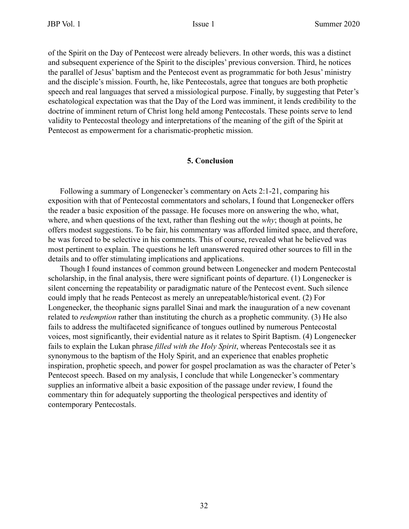of the Spirit on the Day of Pentecost were already believers. In other words, this was a distinct and subsequent experience of the Spirit to the disciples' previous conversion. Third, he notices the parallel of Jesus' baptism and the Pentecost event as programmatic for both Jesus' ministry and the disciple's mission. Fourth, he, like Pentecostals, agree that tongues are both prophetic speech and real languages that served a missiological purpose. Finally, by suggesting that Peter's eschatological expectation was that the Day of the Lord was imminent, it lends credibility to the doctrine of imminent return of Christ long held among Pentecostals. These points serve to lend validity to Pentecostal theology and interpretations of the meaning of the gift of the Spirit at Pentecost as empowerment for a charismatic-prophetic mission.

#### **5. Conclusion**

Following a summary of Longenecker's commentary on Acts 2:1-21, comparing his exposition with that of Pentecostal commentators and scholars, I found that Longenecker offers the reader a basic exposition of the passage. He focuses more on answering the who, what, where, and when questions of the text, rather than fleshing out the *why*; though at points, he offers modest suggestions. To be fair, his commentary was afforded limited space, and therefore, he was forced to be selective in his comments. This of course, revealed what he believed was most pertinent to explain. The questions he left unanswered required other sources to fill in the details and to offer stimulating implications and applications.

Though I found instances of common ground between Longenecker and modern Pentecostal scholarship, in the final analysis, there were significant points of departure. (1) Longenecker is silent concerning the repeatability or paradigmatic nature of the Pentecost event. Such silence could imply that he reads Pentecost as merely an unrepeatable/historical event. (2) For Longenecker, the theophanic signs parallel Sinai and mark the inauguration of a new covenant related to *redemption* rather than instituting the church as a prophetic community. (3) He also fails to address the multifaceted significance of tongues outlined by numerous Pentecostal voices, most significantly, their evidential nature as it relates to Spirit Baptism. (4) Longenecker fails to explain the Lukan phrase *filled with the Holy Spirit*, whereas Pentecostals see it as synonymous to the baptism of the Holy Spirit, and an experience that enables prophetic inspiration, prophetic speech, and power for gospel proclamation as was the character of Peter's Pentecost speech. Based on my analysis, I conclude that while Longenecker's commentary supplies an informative albeit a basic exposition of the passage under review, I found the commentary thin for adequately supporting the theological perspectives and identity of contemporary Pentecostals.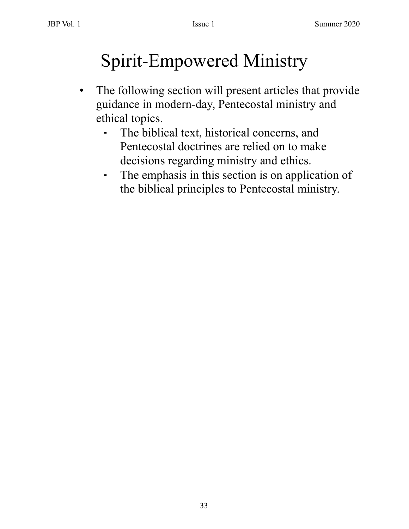## Spirit-Empowered Ministry

- The following section will present articles that provide guidance in modern-day, Pentecostal ministry and ethical topics.
	- ⁃ The biblical text, historical concerns, and Pentecostal doctrines are relied on to make decisions regarding ministry and ethics.
	- ⁃ The emphasis in this section is on application of the biblical principles to Pentecostal ministry.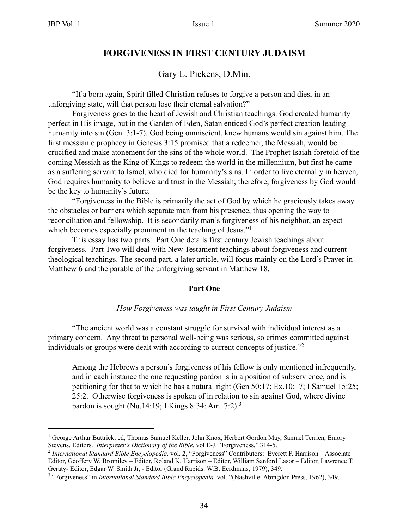### **FORGIVENESS IN FIRST CENTURY JUDAISM**

Gary L. Pickens, D.Min.

 "If a born again, Spirit filled Christian refuses to forgive a person and dies, in an unforgiving state, will that person lose their eternal salvation?"

Forgiveness goes to the heart of Jewish and Christian teachings. God created humanity perfect in His image, but in the Garden of Eden, Satan enticed God's perfect creation leading humanity into sin (Gen. 3:1-7). God being omniscient, knew humans would sin against him. The first messianic prophecy in Genesis 3:15 promised that a redeemer, the Messiah, would be crucified and make atonement for the sins of the whole world. The Prophet Isaiah foretold of the coming Messiah as the King of Kings to redeem the world in the millennium, but first he came as a suffering servant to Israel, who died for humanity's sins. In order to live eternally in heaven, God requires humanity to believe and trust in the Messiah; therefore, forgiveness by God would be the key to humanity's future.

"Forgiveness in the Bible is primarily the act of God by which he graciously takes away the obstacles or barriers which separate man from his presence, thus opening the way to reconciliation and fellowship. It is secondarily man's forgiveness of his neighbor, an aspect which becomes especially prominent in the teaching of Jesus."<sup>1</sup>

This essay has two parts: Part One details first century Jewish teachings about forgiveness. Part Two will deal with New Testament teachings about forgiveness and current theological teachings. The second part, a later article, will focus mainly on the Lord's Prayer in Matthew 6 and the parable of the unforgiving servant in Matthew 18.

#### **Part One**

#### *How Forgiveness was taught in First Century Judaism*

"The ancient world was a constant struggle for survival with individual interest as a primary concern. Any threat to personal well-being was serious, so crimes committed against individuals or groups were dealt with according to current concepts of justice."2

Among the Hebrews a person's forgiveness of his fellow is only mentioned infrequently, and in each instance the one requesting pardon is in a position of subservience, and is petitioning for that to which he has a natural right (Gen 50:17; Ex.10:17; I Samuel 15:25; 25:2. Otherwise forgiveness is spoken of in relation to sin against God, where divine pardon is sought (Nu.14:19; I Kings 8:34: Am. 7:2).3

<sup>&</sup>lt;sup>1</sup> George Arthur Buttrick, ed, Thomas Samuel Keller, John Knox, Herbert Gordon May, Samuel Terrien, Emory Stevens, Editors. *Interpreter's Dictionary of the Bible*, vol E-J. "Forgiveness," 314-5.

<sup>2</sup>  *International Standard Bible Encyclopedia,* vol. 2, "Forgiveness" Contributors: Everett F. Harrison – Associate Editor, Geoffery W. Bromiley – Editor, Roland K. Harrison – Editor, William Sanford Lasor – Editor, Lawrence T. Geraty- Editor, Edgar W. Smith Jr, - Editor (Grand Rapids: W.B. Eerdmans, 1979), 349.

<sup>&</sup>lt;sup>3</sup> "Forgiveness" in *International Standard Bible Encyclopedia*, vol. 2(Nashville: Abingdon Press, 1962), 349.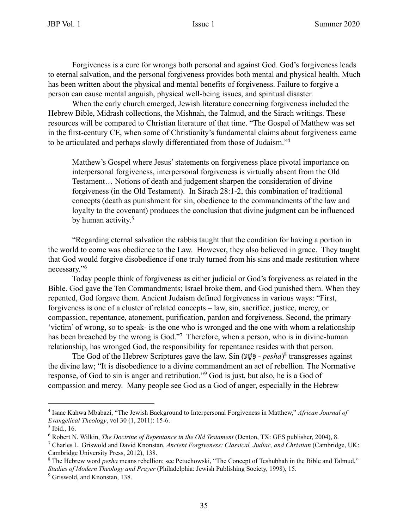Forgiveness is a cure for wrongs both personal and against God. God's forgiveness leads to eternal salvation, and the personal forgiveness provides both mental and physical health. Much has been written about the physical and mental benefits of forgiveness. Failure to forgive a person can cause mental anguish, physical well-being issues, and spiritual disaster.

When the early church emerged, Jewish literature concerning forgiveness included the Hebrew Bible, Midrash collections, the Mishnah, the Talmud, and the Sirach writings. These resources will be compared to Christian literature of that time. "The Gospel of Matthew was set in the first-century CE, when some of Christianity's fundamental claims about forgiveness came to be articulated and perhaps slowly differentiated from those of Judaism."4

Matthew's Gospel where Jesus' statements on forgiveness place pivotal importance on interpersonal forgiveness, interpersonal forgiveness is virtually absent from the Old Testament… Notions of death and judgement sharpen the consideration of divine forgiveness (in the Old Testament). In Sirach 28:1-2, this combination of traditional concepts (death as punishment for sin, obedience to the commandments of the law and loyalty to the covenant) produces the conclusion that divine judgment can be influenced by human activity.<sup>5</sup>

"Regarding eternal salvation the rabbis taught that the condition for having a portion in the world to come was obedience to the Law. However, they also believed in grace. They taught that God would forgive disobedience if one truly turned from his sins and made restitution where necessary."6

Today people think of forgiveness as either judicial or God's forgiveness as related in the Bible. God gave the Ten Commandments; Israel broke them, and God punished them. When they repented, God forgave them. Ancient Judaism defined forgiveness in various ways: "First, forgiveness is one of a cluster of related concepts – law, sin, sacrifice, justice, mercy, or compassion, repentance, atonement, purification, pardon and forgiveness. Second, the primary 'victim' of wrong, so to speak- is the one who is wronged and the one with whom a relationship has been breached by the wrong is God."<sup>7</sup> Therefore, when a person, who is in divine-human relationship, has wronged God, the responsibility for repentance resides with that person.

The God of the Hebrew Scriptures gave the law. Sin ( פֶּשַׁע - *pesha*) 8 transgresses against the divine law; "It is disobedience to a divine commandment an act of rebellion. The Normative response, of God to sin is anger and retribution."9 God is just, but also, he is a God of compassion and mercy. Many people see God as a God of anger, especially in the Hebrew

<sup>4</sup> Isaac Kahwa Mbabazi, "The Jewish Background to Interpersonal Forgiveness in Matthew," *African Journal of Evangelical Theology*, vol 30 (1, 2011): 15-6.

 $<sup>5</sup>$  Ibid., 16.</sup>

<sup>&</sup>lt;sup>6</sup> Robert N. Wilkin, *The Doctrine of Repentance in the Old Testament* (Denton, TX: GES publisher, 2004), 8.

<sup>7</sup> Charles L. Griswold and David Knonstan, *Ancient Forgiveness: Classical, Judiac, and Christian* (Cambridge, UK: Cambridge University Press, 2012), 138.

<sup>&</sup>lt;sup>8</sup> The Hebrew word *pesha* means rebellion; see Petuchowski, "The Concept of Teshubhah in the Bible and Talmud," *Studies of Modern Theology and Prayer* (Philadelphia: Jewish Publishing Society, 1998), 15.

<sup>&</sup>lt;sup>9</sup> Griswold, and Knonstan, 138.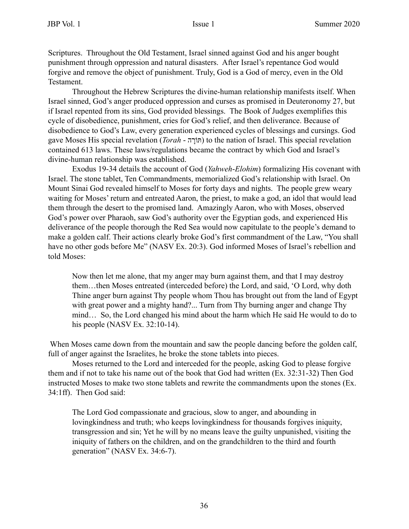Scriptures. Throughout the Old Testament, Israel sinned against God and his anger bought punishment through oppression and natural disasters. After Israel's repentance God would forgive and remove the object of punishment. Truly, God is a God of mercy, even in the Old Testament.

Throughout the Hebrew Scriptures the divine-human relationship manifests itself. When Israel sinned, God's anger produced oppression and curses as promised in Deuteronomy 27, but if Israel repented from its sins, God provided blessings. The Book of Judges exemplifies this cycle of disobedience, punishment, cries for God's relief, and then deliverance. Because of disobedience to God's Law, every generation experienced cycles of blessings and cursings. God gave Moses His special revelation (*Torah* - רוֹתָּה ( to the nation of Israel. This special revelation contained 613 laws. These laws/regulations became the contract by which God and Israel's divine-human relationship was established.

Exodus 19-34 details the account of God (*Yahweh*-*Elohim*) formalizing His covenant with Israel. The stone tablet, Ten Commandments, memorialized God's relationship with Israel. On Mount Sinai God revealed himself to Moses for forty days and nights. The people grew weary waiting for Moses' return and entreated Aaron, the priest, to make a god, an idol that would lead them through the desert to the promised land. Amazingly Aaron, who with Moses, observed God's power over Pharaoh, saw God's authority over the Egyptian gods, and experienced His deliverance of the people thorough the Red Sea would now capitulate to the people's demand to make a golden calf. Their actions clearly broke God's first commandment of the Law, "You shall have no other gods before Me" (NASV Ex. 20:3). God informed Moses of Israel's rebellion and told Moses:

Now then let me alone, that my anger may burn against them, and that I may destroy them…then Moses entreated (interceded before) the Lord, and said, 'O Lord, why doth Thine anger burn against Thy people whom Thou has brought out from the land of Egypt with great power and a mighty hand?... Turn from Thy burning anger and change Thy mind… So, the Lord changed his mind about the harm which He said He would to do to his people (NASV Ex. 32:10-14).

When Moses came down from the mountain and saw the people dancing before the golden calf, full of anger against the Israelites, he broke the stone tablets into pieces.

Moses returned to the Lord and interceded for the people, asking God to please forgive them and if not to take his name out of the book that God had written (Ex. 32:31-32) Then God instructed Moses to make two stone tablets and rewrite the commandments upon the stones (Ex. 34:1ff). Then God said:

The Lord God compassionate and gracious, slow to anger, and abounding in lovingkindness and truth; who keeps lovingkindness for thousands forgives iniquity, transgression and sin; Yet he will by no means leave the guilty unpunished, visiting the iniquity of fathers on the children, and on the grandchildren to the third and fourth generation" (NASV Ex. 34:6-7).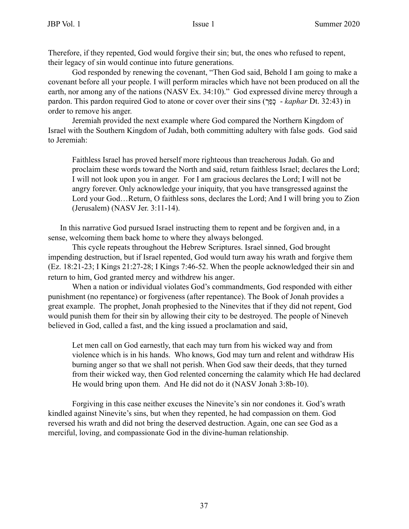Therefore, if they repented, God would forgive their sin; but, the ones who refused to repent, their legacy of sin would continue into future generations.

God responded by renewing the covenant, "Then God said, Behold I am going to make a covenant before all your people. I will perform miracles which have not been produced on all the earth, nor among any of the nations (NASV Ex. 34:10)." God expressed divine mercy through a pardon. This pardon required God to atone or cover over their sins ( כָפַרְ - *kaphar* Dt. 32:43) in order to remove his anger.

Jeremiah provided the next example where God compared the Northern Kingdom of Israel with the Southern Kingdom of Judah, both committing adultery with false gods. God said to Jeremiah:

Faithless Israel has proved herself more righteous than treacherous Judah. Go and proclaim these words toward the North and said, return faithless Israel; declares the Lord; I will not look upon you in anger. For I am gracious declares the Lord; I will not be angry forever. Only acknowledge your iniquity, that you have transgressed against the Lord your God…Return, O faithless sons, declares the Lord; And I will bring you to Zion (Jerusalem) (NASV Jer. 3:11-14).

In this narrative God pursued Israel instructing them to repent and be forgiven and, in a sense, welcoming them back home to where they always belonged.

This cycle repeats throughout the Hebrew Scriptures. Israel sinned, God brought impending destruction, but if Israel repented, God would turn away his wrath and forgive them (Ez. 18:21-23; I Kings 21:27-28; I Kings 7:46-52. When the people acknowledged their sin and return to him, God granted mercy and withdrew his anger.

When a nation or individual violates God's commandments, God responded with either punishment (no repentance) or forgiveness (after repentance). The Book of Jonah provides a great example. The prophet, Jonah prophesied to the Ninevites that if they did not repent, God would punish them for their sin by allowing their city to be destroyed. The people of Nineveh believed in God, called a fast, and the king issued a proclamation and said,

Let men call on God earnestly, that each may turn from his wicked way and from violence which is in his hands. Who knows, God may turn and relent and withdraw His burning anger so that we shall not perish. When God saw their deeds, that they turned from their wicked way, then God relented concerning the calamity which He had declared He would bring upon them. And He did not do it (NASV Jonah 3:8b-10).

Forgiving in this case neither excuses the Ninevite's sin nor condones it. God's wrath kindled against Ninevite's sins, but when they repented, he had compassion on them. God reversed his wrath and did not bring the deserved destruction. Again, one can see God as a merciful, loving, and compassionate God in the divine-human relationship.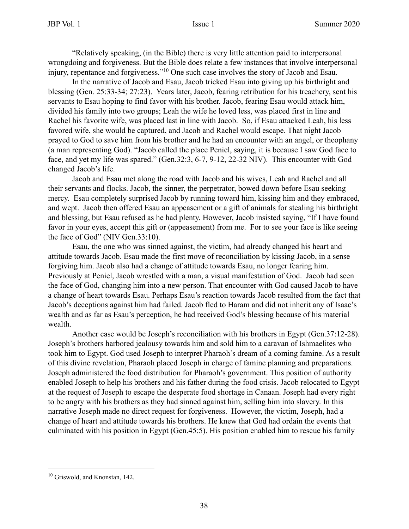"Relatively speaking, (in the Bible) there is very little attention paid to interpersonal wrongdoing and forgiveness. But the Bible does relate a few instances that involve interpersonal injury, repentance and forgiveness."10 One such case involves the story of Jacob and Esau.

In the narrative of Jacob and Esau, Jacob tricked Esau into giving up his birthright and blessing (Gen. 25:33-34; 27:23). Years later, Jacob, fearing retribution for his treachery, sent his servants to Esau hoping to find favor with his brother. Jacob, fearing Esau would attack him, divided his family into two groups; Leah the wife he loved less, was placed first in line and Rachel his favorite wife, was placed last in line with Jacob. So, if Esau attacked Leah, his less favored wife, she would be captured, and Jacob and Rachel would escape. That night Jacob prayed to God to save him from his brother and he had an encounter with an angel, or theophany (a man representing God). "Jacob called the place Peniel, saying, it is because I saw God face to face, and yet my life was spared." (Gen.32:3, 6-7, 9-12, 22-32 NIV). This encounter with God changed Jacob's life.

Jacob and Esau met along the road with Jacob and his wives, Leah and Rachel and all their servants and flocks. Jacob, the sinner, the perpetrator, bowed down before Esau seeking mercy. Esau completely surprised Jacob by running toward him, kissing him and they embraced, and wept. Jacob then offered Esau an appeasement or a gift of animals for stealing his birthright and blessing, but Esau refused as he had plenty. However, Jacob insisted saying, "If I have found favor in your eyes, accept this gift or (appeasement) from me. For to see your face is like seeing the face of God" (NIV Gen.33:10).

Esau, the one who was sinned against, the victim, had already changed his heart and attitude towards Jacob. Esau made the first move of reconciliation by kissing Jacob, in a sense forgiving him. Jacob also had a change of attitude towards Esau, no longer fearing him. Previously at Peniel, Jacob wrestled with a man, a visual manifestation of God. Jacob had seen the face of God, changing him into a new person. That encounter with God caused Jacob to have a change of heart towards Esau. Perhaps Esau's reaction towards Jacob resulted from the fact that Jacob's deceptions against him had failed. Jacob fled to Haram and did not inherit any of Isaac's wealth and as far as Esau's perception, he had received God's blessing because of his material wealth.

Another case would be Joseph's reconciliation with his brothers in Egypt (Gen.37:12-28). Joseph's brothers harbored jealousy towards him and sold him to a caravan of Ishmaelites who took him to Egypt. God used Joseph to interpret Pharaoh's dream of a coming famine. As a result of this divine revelation, Pharaoh placed Joseph in charge of famine planning and preparations. Joseph administered the food distribution for Pharaoh's government. This position of authority enabled Joseph to help his brothers and his father during the food crisis. Jacob relocated to Egypt at the request of Joseph to escape the desperate food shortage in Canaan. Joseph had every right to be angry with his brothers as they had sinned against him, selling him into slavery. In this narrative Joseph made no direct request for forgiveness. However, the victim, Joseph, had a change of heart and attitude towards his brothers. He knew that God had ordain the events that culminated with his position in Egypt (Gen.45:5). His position enabled him to rescue his family

<sup>&</sup>lt;sup>10</sup> Griswold, and Knonstan, 142.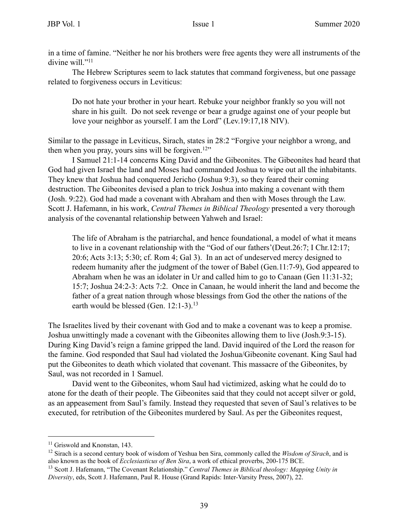in a time of famine. "Neither he nor his brothers were free agents they were all instruments of the divine will."<sup>11</sup>

The Hebrew Scriptures seem to lack statutes that command forgiveness, but one passage related to forgiveness occurs in Leviticus:

Do not hate your brother in your heart. Rebuke your neighbor frankly so you will not share in his guilt. Do not seek revenge or bear a grudge against one of your people but love your neighbor as yourself. I am the Lord" (Lev.19:17,18 NIV).

Similar to the passage in Leviticus, Sirach, states in 28:2 "Forgive your neighbor a wrong, and then when you pray, yours sins will be forgiven.<sup>12"</sup>

I Samuel 21:1-14 concerns King David and the Gibeonites. The Gibeonites had heard that God had given Israel the land and Moses had commanded Joshua to wipe out all the inhabitants. They knew that Joshua had conquered Jericho (Joshua 9:3), so they feared their coming destruction. The Gibeonites devised a plan to trick Joshua into making a covenant with them (Josh. 9:22). God had made a covenant with Abraham and then with Moses through the Law. Scott J. Hafemann, in his work, *Central Themes in Biblical Theology* presented a very thorough analysis of the covenantal relationship between Yahweh and Israel:

The life of Abraham is the patriarchal, and hence foundational, a model of what it means to live in a covenant relationship with the "God of our fathers'(Deut.26:7; I Chr.12:17; 20:6; Acts 3:13; 5:30; cf. Rom 4; Gal 3). In an act of undeserved mercy designed to redeem humanity after the judgment of the tower of Babel (Gen.11:7-9), God appeared to Abraham when he was an idolater in Ur and called him to go to Canaan (Gen 11:31-32; 15:7; Joshua 24:2-3: Acts 7:2. Once in Canaan, he would inherit the land and become the father of a great nation through whose blessings from God the other the nations of the earth would be blessed (Gen. 12:1-3).<sup>13</sup>

The Israelites lived by their covenant with God and to make a covenant was to keep a promise. Joshua unwittingly made a covenant with the Gibeonites allowing them to live (Josh.9:3-15). During King David's reign a famine gripped the land. David inquired of the Lord the reason for the famine. God responded that Saul had violated the Joshua/Gibeonite covenant. King Saul had put the Gibeonites to death which violated that covenant. This massacre of the Gibeonites, by Saul, was not recorded in 1 Samuel.

David went to the Gibeonites, whom Saul had victimized, asking what he could do to atone for the death of their people. The Gibeonites said that they could not accept silver or gold, as an appeasement from Saul's family. Instead they requested that seven of Saul's relatives to be executed, for retribution of the Gibeonites murdered by Saul. As per the Gibeonites request,

<sup>&</sup>lt;sup>11</sup> Griswold and Knonstan, 143.

<sup>12</sup> Sirach is a second century book of wisdom of Yeshua ben Sira, commonly called the *Wisdom of Sirach*, and is also known as the book of *Ecclesiasticus of Ben Sira*, a work of ethical proverbs, 200-175 BCE.

<sup>13</sup> Scott J. Hafemann, "The Covenant Relationship." *Central Themes in Biblical theology: Mapping Unity in Diversity*, eds, Scott J. Hafemann, Paul R. House (Grand Rapids: Inter-Varsity Press, 2007), 22.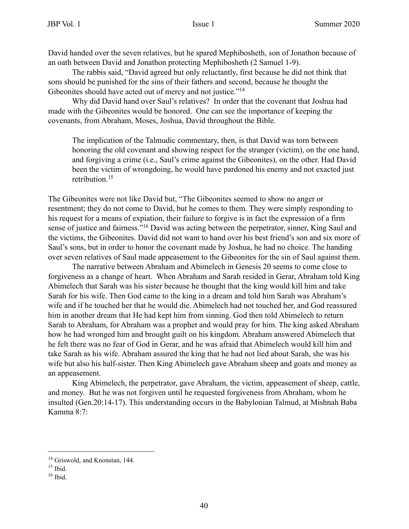David handed over the seven relatives, but he spared Mephibosheth, son of Jonathon because of an oath between David and Jonathon protecting Mephibosheth (2 Samuel 1-9).

The rabbis said, "David agreed but only reluctantly, first because he did not think that sons should be punished for the sins of their fathers and second, because he thought the Gibeonites should have acted out of mercy and not justice."<sup>14</sup>

Why did David hand over Saul's relatives? In order that the covenant that Joshua had made with the Gibeonites would be honored. One can see the importance of keeping the covenants, from Abraham, Moses, Joshua, David throughout the Bible.

The implication of the Talmudic commentary, then, is that David was torn between honoring the old covenant and showing respect for the stranger (victim), on the one hand, and forgiving a crime (i.e., Saul's crime against the Gibeonites), on the other. Had David been the victim of wrongdoing, he would have pardoned his enemy and not exacted just retribution.<sup>15</sup>

The Gibeonites were not like David but, "The Gibeonites seemed to show no anger or resentment; they do not come to David, but he comes to them. They were simply responding to his request for a means of expiation, their failure to forgive is in fact the expression of a firm sense of justice and fairness."16 David was acting between the perpetrator, sinner, King Saul and the victims, the Gibeonites. David did not want to hand over his best friend's son and six more of Saul's sons, but in order to honor the covenant made by Joshua, he had no choice. The handing over seven relatives of Saul made appeasement to the Gibeonites for the sin of Saul against them.

The narrative between Abraham and Abimelech in Genesis 20 seems to come close to forgiveness as a change of heart. When Abraham and Sarah resided in Gerar, Abraham told King Abimelech that Sarah was his sister because he thought that the king would kill him and take Sarah for his wife. Then God came to the king in a dream and told him Sarah was Abraham's wife and if he touched her that he would die. Abimelech had not touched her, and God reassured him in another dream that He had kept him from sinning. God then told Abimelech to return Sarah to Abraham, for Abraham was a prophet and would pray for him. The king asked Abraham how he had wronged him and brought guilt on his kingdom. Abraham answered Abimelech that he felt there was no fear of God in Gerar, and he was afraid that Abimelech would kill him and take Sarah as his wife. Abraham assured the king that he had not lied about Sarah, she was his wife but also his half-sister. Then King Abimelech gave Abraham sheep and goats and money as an appeasement.

King Abimelech, the perpetrator, gave Abraham, the victim, appeasement of sheep, cattle, and money. But he was not forgiven until he requested forgiveness from Abraham, whom he insulted (Gen.20:14-17). This understanding occurs in the Babylonian Talmud, at Mishnah Baba Kamma 8:7:

<sup>&</sup>lt;sup>14</sup> Griswold, and Knonstan, 144.

 $15$  Ibid.

<sup>16</sup> Ibid.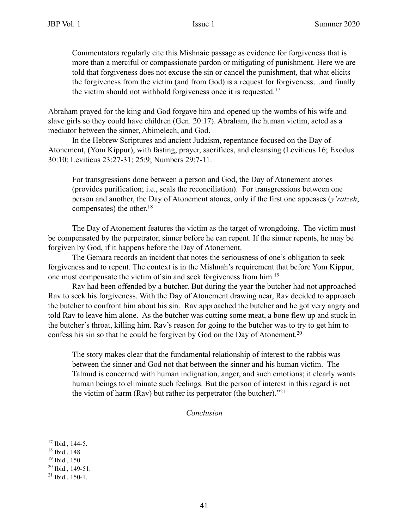Commentators regularly cite this Mishnaic passage as evidence for forgiveness that is more than a merciful or compassionate pardon or mitigating of punishment. Here we are told that forgiveness does not excuse the sin or cancel the punishment, that what elicits the forgiveness from the victim (and from God) is a request for forgiveness…and finally the victim should not withhold forgiveness once it is requested.<sup>17</sup>

Abraham prayed for the king and God forgave him and opened up the wombs of his wife and slave girls so they could have children (Gen. 20:17). Abraham, the human victim, acted as a mediator between the sinner, Abimelech, and God.

In the Hebrew Scriptures and ancient Judaism, repentance focused on the Day of Atonement, (Yom Kippur), with fasting, prayer, sacrifices, and cleansing (Leviticus 16; Exodus 30:10; Leviticus 23:27-31; 25:9; Numbers 29:7-11.

For transgressions done between a person and God, the Day of Atonement atones (provides purification; i.e., seals the reconciliation). For transgressions between one person and another, the Day of Atonement atones, only if the first one appeases (*y'ratzeh*, compensates) the other. $18$ 

The Day of Atonement features the victim as the target of wrongdoing. The victim must be compensated by the perpetrator, sinner before he can repent. If the sinner repents, he may be forgiven by God, if it happens before the Day of Atonement.

The Gemara records an incident that notes the seriousness of one's obligation to seek forgiveness and to repent. The context is in the Mishnah's requirement that before Yom Kippur, one must compensate the victim of sin and seek forgiveness from him.19

Rav had been offended by a butcher. But during the year the butcher had not approached Rav to seek his forgiveness. With the Day of Atonement drawing near, Rav decided to approach the butcher to confront him about his sin. Rav approached the butcher and he got very angry and told Rav to leave him alone. As the butcher was cutting some meat, a bone flew up and stuck in the butcher's throat, killing him. Rav's reason for going to the butcher was to try to get him to confess his sin so that he could be forgiven by God on the Day of Atonement.<sup>20</sup>

The story makes clear that the fundamental relationship of interest to the rabbis was between the sinner and God not that between the sinner and his human victim. The Talmud is concerned with human indignation, anger, and such emotions; it clearly wants human beings to eliminate such feelings. But the person of interest in this regard is not the victim of harm (Rav) but rather its perpetrator (the butcher). $121$ 

*Conclusion*

 $17$  Ibid., 144-5.

<sup>18</sup> Ibid., 148.

<sup>19</sup> Ibid., 150.

 $20$  Ibid., 149-51.

 $21$  Ibid., 150-1.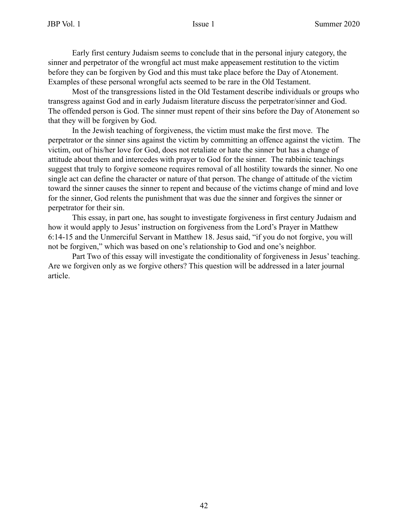Early first century Judaism seems to conclude that in the personal injury category, the sinner and perpetrator of the wrongful act must make appeasement restitution to the victim before they can be forgiven by God and this must take place before the Day of Atonement. Examples of these personal wrongful acts seemed to be rare in the Old Testament.

Most of the transgressions listed in the Old Testament describe individuals or groups who transgress against God and in early Judaism literature discuss the perpetrator/sinner and God. The offended person is God. The sinner must repent of their sins before the Day of Atonement so that they will be forgiven by God.

In the Jewish teaching of forgiveness, the victim must make the first move. The perpetrator or the sinner sins against the victim by committing an offence against the victim. The victim, out of his/her love for God, does not retaliate or hate the sinner but has a change of attitude about them and intercedes with prayer to God for the sinner. The rabbinic teachings suggest that truly to forgive someone requires removal of all hostility towards the sinner. No one single act can define the character or nature of that person. The change of attitude of the victim toward the sinner causes the sinner to repent and because of the victims change of mind and love for the sinner, God relents the punishment that was due the sinner and forgives the sinner or perpetrator for their sin.

This essay, in part one, has sought to investigate forgiveness in first century Judaism and how it would apply to Jesus' instruction on forgiveness from the Lord's Prayer in Matthew 6:14-15 and the Unmerciful Servant in Matthew 18. Jesus said, "if you do not forgive, you will not be forgiven," which was based on one's relationship to God and one's neighbor.

Part Two of this essay will investigate the conditionality of forgiveness in Jesus' teaching. Are we forgiven only as we forgive others? This question will be addressed in a later journal article.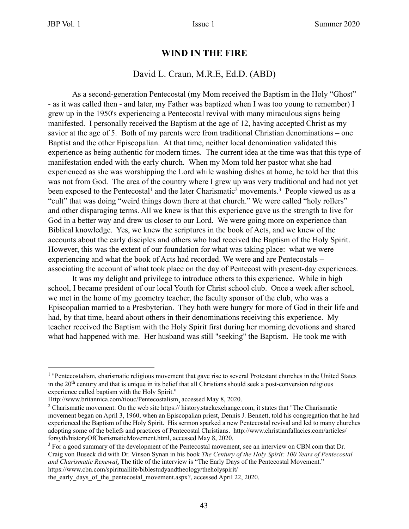#### **WIND IN THE FIRE**

#### David L. Craun, M.R.E, Ed.D. (ABD)

As a second-generation Pentecostal (my Mom received the Baptism in the Holy "Ghost" - as it was called then - and later, my Father was baptized when I was too young to remember) I grew up in the 1950's experiencing a Pentecostal revival with many miraculous signs being manifested. I personally received the Baptism at the age of 12, having accepted Christ as my savior at the age of 5. Both of my parents were from traditional Christian denominations – one Baptist and the other Episcopalian. At that time, neither local denomination validated this experience as being authentic for modern times. The current idea at the time was that this type of manifestation ended with the early church. When my Mom told her pastor what she had experienced as she was worshipping the Lord while washing dishes at home, he told her that this was not from God. The area of the country where I grew up was very traditional and had not yet been exposed to the Pentecostal<sup>1</sup> and the later Charismatic<sup>2</sup> movements.<sup>3</sup> People viewed us as a "cult" that was doing "weird things down there at that church." We were called "holy rollers" and other disparaging terms. All we knew is that this experience gave us the strength to live for God in a better way and drew us closer to our Lord. We were going more on experience than Biblical knowledge. Yes, we knew the scriptures in the book of Acts, and we knew of the accounts about the early disciples and others who had received the Baptism of the Holy Spirit. However, this was the extent of our foundation for what was taking place: what we were experiencing and what the book of Acts had recorded. We were and are Pentecostals – associating the account of what took place on the day of Pentecost with present-day experiences.

 It was my delight and privilege to introduce others to this experience. While in high school, I became president of our local Youth for Christ school club. Once a week after school, we met in the home of my geometry teacher, the faculty sponsor of the club, who was a Episcopalian married to a Presbyterian. They both were hungry for more of God in their life and had, by that time, heard about others in their denominations receiving this experience. My teacher received the Baptism with the Holy Spirit first during her morning devotions and shared what had happened with me. Her husband was still "seeking" the Baptism. He took me with

<sup>&</sup>lt;sup>1</sup> "Pentecostalism, charismatic religious movement that gave rise to several Protestant churches in the United States in the 20th century and that is unique in its belief that all Christians should seek a post-conversion religious experience called baptism with the Holy Spirit."

Http://www.britannica.com/tiouc/Pentecostalism, accessed May 8, 2020.

<sup>&</sup>lt;sup>2</sup> Charismatic movement: On the web site https:// history.stackexchange.com, it states that "The Charismatic" movement began on April 3, 1960, when an Episcopalian priest, Dennis J. Bennett, told his congregation that he had experienced the Baptism of the Holy Spirit. His sermon sparked a new Pentecostal revival and led to many churches adopting some of the beliefs and practices of Pentecostal Christians. http://www.christianfallacies.com/articles/ forsyth/historyOfCharismaticMovement.html, accessed May 8, 2020.

 $3$  For a good summary of the development of the Pentecostal movement, see an interview on CBN.com that Dr. Craig von Buseck did with Dr. Vinson Synan in his book *The Century of the Holy Spirit: 100 Years of Pentecostal and Charismatic Renewal*. The title of the interview is "The Early Days of the Pentecostal Movement." https://www.cbn.com/spirituallife/biblestudyandtheology/theholyspirit/

the early days of the pentecostal movement.aspx?, accessed April 22, 2020.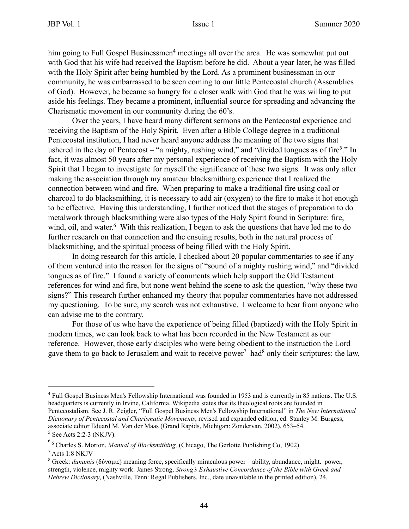him going to Full Gospel Businessmen<sup>4</sup> meetings all over the area. He was somewhat put out with God that his wife had received the Baptism before he did. About a year later, he was filled with the Holy Spirit after being humbled by the Lord. As a prominent businessman in our community, he was embarrassed to be seen coming to our little Pentecostal church (Assemblies of God). However, he became so hungry for a closer walk with God that he was willing to put aside his feelings. They became a prominent, influential source for spreading and advancing the Charismatic movement in our community during the 60's.

Over the years, I have heard many different sermons on the Pentecostal experience and receiving the Baptism of the Holy Spirit. Even after a Bible College degree in a traditional Pentecostal institution, I had never heard anyone address the meaning of the two signs that ushered in the day of Pentecost – "a mighty, rushing wind," and "divided tongues as of fire<sup>5</sup>." In fact, it was almost 50 years after my personal experience of receiving the Baptism with the Holy Spirit that I began to investigate for myself the significance of these two signs. It was only after making the association through my amateur blacksmithing experience that I realized the connection between wind and fire. When preparing to make a traditional fire using coal or charcoal to do blacksmithing, it is necessary to add air (oxygen) to the fire to make it hot enough to be effective. Having this understanding, I further noticed that the stages of preparation to do metalwork through blacksmithing were also types of the Holy Spirit found in Scripture: fire, wind, oil, and water.<sup>6</sup> With this realization, I began to ask the questions that have led me to do further research on that connection and the ensuing results, both in the natural process of blacksmithing, and the spiritual process of being filled with the Holy Spirit.

 In doing research for this article, I checked about 20 popular commentaries to see if any of them ventured into the reason for the signs of "sound of a mighty rushing wind," and "divided tongues as of fire." I found a variety of comments which help support the Old Testament references for wind and fire, but none went behind the scene to ask the question, "why these two signs?" This research further enhanced my theory that popular commentaries have not addressed my questioning. To be sure, my search was not exhaustive. I welcome to hear from anyone who can advise me to the contrary.

For those of us who have the experience of being filled (baptized) with the Holy Spirit in modern times, we can look back to what has been recorded in the New Testament as our reference. However, those early disciples who were being obedient to the instruction the Lord gave them to go back to Jerusalem and wait to receive power<sup>7</sup> had<sup>8</sup> only their scriptures: the law,

<sup>&</sup>lt;sup>4</sup> Full Gospel Business Men's Fellowship International was founded in 1953 and is currently in 85 nations. The U.S. headquarters is currently in Irvine, California. Wikipedia states that its theological roots are founded in Pentecostalism. See J. R. Zeigler, "Full Gospel Business Men's Fellowship International" in *The New International Dictionary of Pentecostal and Charismatic Movements*, revised and expanded edition, ed. Stanley M. Burgess, associate editor Eduard M. Van der Maas (Grand Rapids, Michigan: Zondervan, 2002), 653–54.  $<sup>5</sup>$  See Acts 2:2-3 (NKJV).</sup>

<sup>6</sup> 6 Charles S. Morton, *Manual of Blacksmithing,* (Chicago, The Gerlotte Publishing Co, 1902)

<sup>7</sup> Acts 1:8 NKJV

<sup>&</sup>lt;sup>8</sup> Greek: *dunamis* (δύναμις) meaning force, specifically miraculous power – ability, abundance, might. power, strength, violence, mighty work. James Strong, *Strong's Exhaustive Concordance of the Bible with Greek and Hebrew Dictionary*, (Nashville, Tenn: Regal Publishers, Inc., date unavailable in the printed edition), 24.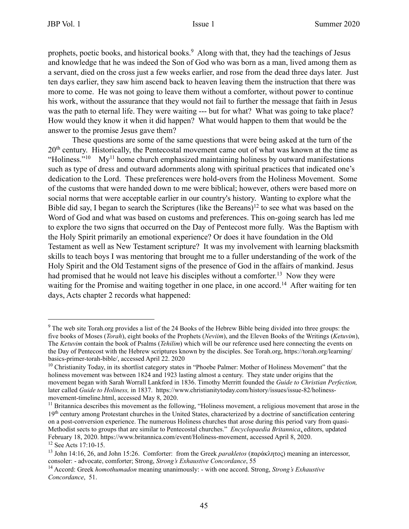prophets, poetic books, and historical books.9 Along with that, they had the teachings of Jesus and knowledge that he was indeed the Son of God who was born as a man, lived among them as a servant, died on the cross just a few weeks earlier, and rose from the dead three days later. Just ten days earlier, they saw him ascend back to heaven leaving them the instruction that there was more to come. He was not going to leave them without a comforter, without power to continue his work, without the assurance that they would not fail to further the message that faith in Jesus was the path to eternal life. They were waiting --- but for what? What was going to take place? How would they know it when it did happen? What would happen to them that would be the answer to the promise Jesus gave them?

These questions are some of the same questions that were being asked at the turn of the 20<sup>th</sup> century. Historically, the Pentecostal movement came out of what was known at the time as "Holiness."<sup>10</sup> My<sup>11</sup> home church emphasized maintaining holiness by outward manifestations such as type of dress and outward adornments along with spiritual practices that indicated one's dedication to the Lord. These preferences were hold-overs from the Holiness Movement. Some of the customs that were handed down to me were biblical; however, others were based more on social norms that were acceptable earlier in our country's history. Wanting to explore what the Bible did say, I began to search the Scriptures (like the Bereans)<sup>12</sup> to see what was based on the Word of God and what was based on customs and preferences. This on-going search has led me to explore the two signs that occurred on the Day of Pentecost more fully. Was the Baptism with the Holy Spirit primarily an emotional experience? Or does it have foundation in the Old Testament as well as New Testament scripture? It was my involvement with learning blacksmith skills to teach boys I was mentoring that brought me to a fuller understanding of the work of the Holy Spirit and the Old Testament signs of the presence of God in the affairs of mankind. Jesus had promised that he would not leave his disciples without a comforter.<sup>13</sup> Now they were waiting for the Promise and waiting together in one place, in one accord.<sup>14</sup> After waiting for ten days, Acts chapter 2 records what happened:

 $9$  The web site Torah.org provides a list of the 24 Books of the Hebrew Bible being divided into three groups: the five books of Moses (*Torah*), eight books of the Prophets (*Neviim*), and the Eleven Books of the Writings (*Ketuvim*), The *Ketuvim* contain the book of Psalms (*Tehilim*) which will be our reference used here connecting the events on the Day of Pentecost with the Hebrew scriptures known by the disciples. See Torah.org, https://torah.org/learning/ basics-primer-torah-bible/, accessed April 22. 2020

 $10$  Christianity Today, in its shortlist category states in "Phoebe Palmer: Mother of Holiness Movement" that the holiness movement was between 1824 and 1923 lasting almost a century. They state under origins that the movement began with Sarah Worrall Lankford in 1836. Timothy Merritt founded the *Guide to Christian Perfection,*  later called *Guide to Holiness,* in 1837. https://www.christianitytoday.com/history/issues/issue-82/holinessmovement-timeline.html, accessed May 8, 2020.

 $<sup>11</sup>$  Britannica describes this movement as the following, "Holiness movement, a religious movement that arose in the</sup> 19<sup>th</sup> century among Protestant churches in the United States, characterized by a doctrine of sanctification centering on a post-conversion experience. The numerous Holiness churches that arose during this period vary from quasi-Methodist sects to groups that are similar to Pentecostal churches." *Encyclopaedia Britannica*, editors, updated February 18, 2020. https://www.britannica.com/event/Holiness-movement, accessed April 8, 2020. 12 See Acts 17:10-15.

<sup>13</sup> John 14:16, 26, and John 15:26. Comforter: from the Greek *parakletos* (παράκλητος) meaning an intercessor, consoler: - advocate, comforter; Strong, *Strong's Exhaustive Concordance*, 55

<sup>14</sup> Accord: Greek *homothumadon* meaning unanimously: - with one accord. Strong, *Strong's Exhaustive Concordance*, 51.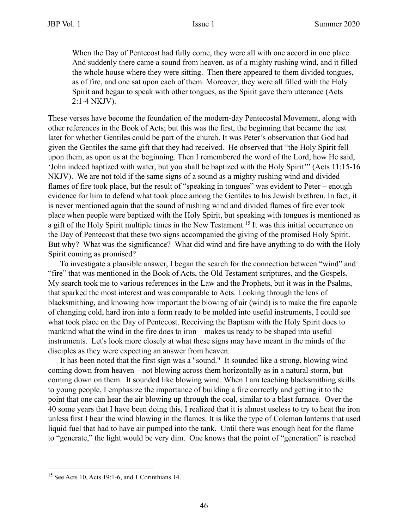When the Day of Pentecost had fully come, they were all with one accord in one place. And suddenly there came a sound from heaven, as of a mighty rushing wind, and it filled the whole house where they were sitting. Then there appeared to them divided tongues, as of fire, and one sat upon each of them. Moreover, they were all filled with the Holy Spirit and began to speak with other tongues, as the Spirit gave them utterance (Acts 2:1-4 NKJV).

These verses have become the foundation of the modern-day Pentecostal Movement, along with other references in the Book of Acts; but this was the first, the beginning that became the test later for whether Gentiles could be part of the church. It was Peter's observation that God had given the Gentiles the same gift that they had received. He observed that "the Holy Spirit fell upon them, as upon us at the beginning. Then I remembered the word of the Lord, how He said, 'John indeed baptized with water, but you shall be baptized with the Holy Spirit'" (Acts 11:15-16 NKJV). We are not told if the same signs of a sound as a mighty rushing wind and divided flames of fire took place, but the result of "speaking in tongues" was evident to Peter – enough evidence for him to defend what took place among the Gentiles to his Jewish brethren. In fact, it is never mentioned again that the sound of rushing wind and divided flames of fire ever took place when people were baptized with the Holy Spirit, but speaking with tongues is mentioned as a gift of the Holy Spirit multiple times in the New Testament.15 It was this initial occurrence on the Day of Pentecost that these two signs accompanied the giving of the promised Holy Spirit. But why? What was the significance? What did wind and fire have anything to do with the Holy Spirit coming as promised?

To investigate a plausible answer, I began the search for the connection between "wind" and "fire" that was mentioned in the Book of Acts, the Old Testament scriptures, and the Gospels. My search took me to various references in the Law and the Prophets, but it was in the Psalms, that sparked the most interest and was comparable to Acts. Looking through the lens of blacksmithing, and knowing how important the blowing of air (wind) is to make the fire capable of changing cold, hard iron into a form ready to be molded into useful instruments, I could see what took place on the Day of Pentecost. Receiving the Baptism with the Holy Spirit does to mankind what the wind in the fire does to iron – makes us ready to be shaped into useful instruments. Let's look more closely at what these signs may have meant in the minds of the disciples as they were expecting an answer from heaven.

 It has been noted that the first sign was a "sound." It sounded like a strong, blowing wind coming down from heaven – not blowing across them horizontally as in a natural storm, but coming down on them. It sounded like blowing wind. When I am teaching blacksmithing skills to young people, I emphasize the importance of building a fire correctly and getting it to the point that one can hear the air blowing up through the coal, similar to a blast furnace. Over the 40 some years that I have been doing this, I realized that it is almost useless to try to heat the iron unless first I hear the wind blowing in the flames. It is like the type of Coleman lanterns that used liquid fuel that had to have air pumped into the tank. Until there was enough heat for the flame to "generate," the light would be very dim. One knows that the point of "generation" is reached

 $15$  See Acts 10, Acts 19:1-6, and 1 Corinthians 14.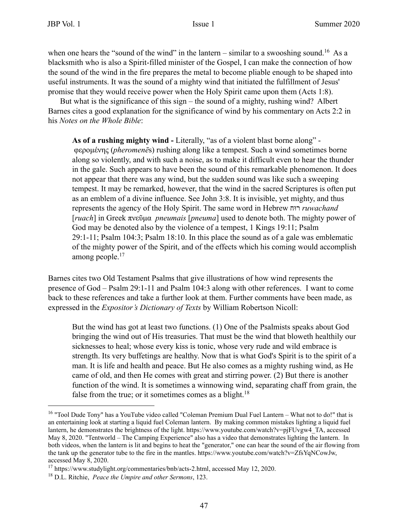when one hears the "sound of the wind" in the lantern – similar to a swooshing sound.<sup>16</sup> As a blacksmith who is also a Spirit-filled minister of the Gospel, I can make the connection of how the sound of the wind in the fire prepares the metal to become pliable enough to be shaped into useful instruments. It was the sound of a mighty wind that initiated the fulfillment of Jesus' promise that they would receive power when the Holy Spirit came upon them (Acts 1:8).

But what is the significance of this sign – the sound of a mighty, rushing wind? Albert Barnes cites a good explanation for the significance of wind by his commentary on Acts 2:2 in his *Notes on the Whole Bible*:

**As of a rushing mighty wind -** Literally, "as of a violent blast borne along" φεροµένης (*pheromenē*s) rushing along like a tempest. Such a wind sometimes borne along so violently, and with such a noise, as to make it difficult even to hear the thunder in the gale. Such appears to have been the sound of this remarkable phenomenon. It does not appear that there was any wind, but the sudden sound was like such a sweeping tempest. It may be remarked, however, that the wind in the sacred Scriptures is often put as an emblem of a divine influence. See John 3:8. It is invisible, yet mighty, and thus represents the agency of the Holy Spirit. The same word in Hebrew חוּר *ruwachand* [*ruach*] in Greek πνεῦµα *pneumais* [*pneuma*] used to denote both. The mighty power of God may be denoted also by the violence of a tempest, 1 Kings 19:11; Psalm 29:1-11; Psalm 104:3; Psalm 18:10. In this place the sound as of a gale was emblematic of the mighty power of the Spirit, and of the effects which his coming would accomplish among people.<sup>17</sup>

Barnes cites two Old Testament Psalms that give illustrations of how wind represents the presence of God – Psalm 29:1-11 and Psalm 104:3 along with other references. I want to come back to these references and take a further look at them. Further comments have been made, as expressed in the *Expositor's Dictionary of Texts* by William Robertson Nicoll:

But the wind has got at least two functions. (1) One of the Psalmists speaks about God bringing the wind out of His treasuries. That must be the wind that bloweth healthily our sicknesses to heal; whose every kiss is tonic, whose very rude and wild embrace is strength. Its very buffetings are healthy. Now that is what God's Spirit is to the spirit of a man. It is life and health and peace. But He also comes as a mighty rushing wind, as He came of old, and then He comes with great and stirring power. (2) But there is another function of the wind. It is sometimes a winnowing wind, separating chaff from grain, the false from the true; or it sometimes comes as a blight.<sup>18</sup>

<sup>16 &</sup>quot;Tool Dude Tony" has a YouTube video called "Coleman Premium Dual Fuel Lantern – What not to do!" that is an entertaining look at starting a liquid fuel Coleman lantern. By making common mistakes lighting a liquid fuel lantern, he demonstrates the brightness of the light. https://www.youtube.com/watch?v=pjFUvgw4\_TA, accessed May 8, 2020. "Tentworld – The Camping Experience" also has a video that demonstrates lighting the lantern. In both videos, when the lantern is lit and begins to heat the "generator," one can hear the sound of the air flowing from the tank up the generator tube to the fire in the mantles. https://www.youtube.com/watch?v=ZfsYqNCowJw, accessed May 8, 2020.

<sup>17</sup> https://www.studylight.org/commentaries/bnb/acts-2.html, accessed May 12, 2020.

<sup>18</sup> D.L. Ritchie, *Peace the Umpire and other Sermons*, 123.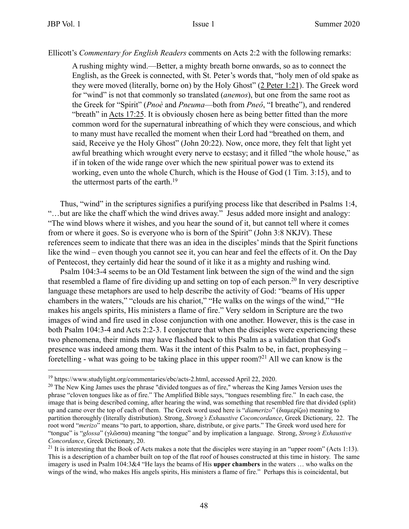Ellicott's *Commentary for English Readers* comments on Acts 2:2 with the following remarks:

A rushing mighty wind.—Better, a mighty breath borne onwards, so as to connect the English, as the Greek is connected, with St. Peter's words that, "holy men of old spake as they were moved (literally, borne on) by the Holy Ghost" (2 Peter 1:21). The Greek word for "wind" is not that commonly so translated (*anemos*), but one from the same root as the Greek for "Spirit" (*Pnoè* and *Pneuma*—both from *Pneô*, "I breathe"), and rendered "breath" in Acts 17:25. It is obviously chosen here as being better fitted than the more common word for the supernatural inbreathing of which they were conscious, and which to many must have recalled the moment when their Lord had "breathed on them, and said, Receive ye the Holy Ghost" (John 20:22). Now, once more, they felt that light yet awful breathing which wrought every nerve to ecstasy; and it filled "the whole house," as if in token of the wide range over which the new spiritual power was to extend its working, even unto the whole Church, which is the House of God (1 Tim. 3:15), and to the uttermost parts of the earth.<sup>19</sup>

Thus, "wind" in the scriptures signifies a purifying process like that described in Psalms 1:4, "…but are like the chaff which the wind drives away." Jesus added more insight and analogy: "The wind blows where it wishes, and you hear the sound of it, but cannot tell where it comes from or where it goes. So is everyone who is born of the Spirit" (John 3:8 NKJV). These references seem to indicate that there was an idea in the disciples' minds that the Spirit functions like the wind – even though you cannot see it, you can hear and feel the effects of it. On the Day of Pentecost, they certainly did hear the sound of it like it as a mighty and rushing wind.

Psalm 104:3-4 seems to be an Old Testament link between the sign of the wind and the sign that resembled a flame of fire dividing up and setting on top of each person. 20 In very descriptive language these metaphors are used to help describe the activity of God: "beams of His upper chambers in the waters," "clouds are his chariot," "He walks on the wings of the wind," "He makes his angels spirits, His ministers a flame of fire." Very seldom in Scripture are the two images of wind and fire used in close conjunction with one another. However, this is the case in both Psalm 104:3-4 and Acts 2:2-3. I conjecture that when the disciples were experiencing these two phenomena, their minds may have flashed back to this Psalm as a validation that God's presence was indeed among them. Was it the intent of this Psalm to be, in fact, prophesying – foretelling - what was going to be taking place in this upper room?21 All we can know is the

<sup>19</sup> https://www.studylight.org/commentaries/ebc/acts-2.html, accessed April 22, 2020.

<sup>&</sup>lt;sup>20</sup> The New King James uses the phrase "divided tongues as of fire," whereas the King James Version uses the phrase "cloven tongues like as of fire." The Amplified Bible says, "tongues resembling fire." In each case, the image that is being described coming, after hearing the wind, was something that resembled fire that divided (split) up and came over the top of each of them. The Greek word used here is "*diamerizo*" (διαµερίζω) meaning to partition thoroughly (literally distribution). Strong, *Strong's Exhaustive Coconcordance*, Greek Dictionary, 22. The root word "*merizo*" means "to part, to apportion, share, distribute, or give parts." The Greek word used here for "tongue" is "*glossa*" (γλῶσσα) meaning "the tongue" and by implication a language. Strong, *Strong's Exhaustive Concordance*, Greek Dictionary, 20.

<sup>&</sup>lt;sup>21</sup> It is interesting that the Book of Acts makes a note that the disciples were staying in an "upper room" (Acts 1:13). This is a description of a chamber built on top of the flat roof of houses constructed at this time in history. The same imagery is used in Psalm 104:3&4 "He lays the beams of His **upper chambers** in the waters … who walks on the wings of the wind, who makes His angels spirits, His ministers a flame of fire." Perhaps this is coincidental, but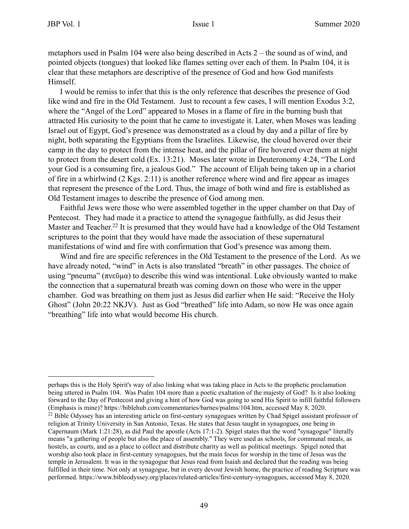metaphors used in Psalm 104 were also being described in Acts 2 – the sound as of wind, and pointed objects (tongues) that looked like flames setting over each of them. In Psalm 104, it is clear that these metaphors are descriptive of the presence of God and how God manifests Himself.

 I would be remiss to infer that this is the only reference that describes the presence of God like wind and fire in the Old Testament. Just to recount a few cases, I will mention Exodus 3:2, where the "Angel of the Lord" appeared to Moses in a flame of fire in the burning bush that attracted His curiosity to the point that he came to investigate it. Later, when Moses was leading Israel out of Egypt, God's presence was demonstrated as a cloud by day and a pillar of fire by night, both separating the Egyptians from the Israelites. Likewise, the cloud hovered over their camp in the day to protect from the intense heat, and the pillar of fire hovered over them at night to protect from the desert cold (Ex. 13:21). Moses later wrote in Deuteronomy 4:24, "The Lord your God is a consuming fire, a jealous God." The account of Elijah being taken up in a chariot of fire in a whirlwind (2 Kgs. 2:11) is another reference where wind and fire appear as images that represent the presence of the Lord. Thus, the image of both wind and fire is established as Old Testament images to describe the presence of God among men.

Faithful Jews were those who were assembled together in the upper chamber on that Day of Pentecost. They had made it a practice to attend the synagogue faithfully, as did Jesus their Master and Teacher.<sup>22</sup> It is presumed that they would have had a knowledge of the Old Testament scriptures to the point that they would have made the association of these supernatural manifestations of wind and fire with confirmation that God's presence was among them.

Wind and fire are specific references in the Old Testament to the presence of the Lord. As we have already noted, "wind" in Acts is also translated "breath" in other passages. The choice of using "pneuma" (πνεῦμα) to describe this wind was intentional. Luke obviously wanted to make the connection that a supernatural breath was coming down on those who were in the upper chamber. God was breathing on them just as Jesus did earlier when He said: "Receive the Holy Ghost" (John 20:22 NKJV). Just as God "breathed" life into Adam, so now He was once again "breathing" life into what would become His church.

perhaps this is the Holy Spirit's way of also linking what was taking place in Acts to the prophetic proclamation being uttered in Psalm 104. Was Psalm 104 more than a poetic exaltation of the majesty of God? Is it also looking forward to the Day of Pentecost and giving a hint of how God was going to send His Spirit to infill faithful followers (Emphasis is mine)? https://biblehub.com/commentaries/barnes/psalms/104.htm, accessed May 8, 2020.

<sup>&</sup>lt;sup>22</sup> Bible Odyssey has an interesting article on first-century synagogues written by Chad Spigel assistant professor of religion at Trinity University in San Antonio, Texas. He states that Jesus taught in synagogues, one being in Capernaum (Mark 1:21:28), as did Paul the apostle (Acts 17:1-2). Spigel states that the word "synagogue" literally means "a gathering of people but also the place of assembly." They were used as schools, for communal meals, as hostels, as courts, and as a place to collect and distribute charity as well as political meetings. Spigel noted that worship also took place in first-century synagogues, but the main focus for worship in the time of Jesus was the temple in Jerusalem. It was in the synagogue that Jesus read from Isaiah and declared that the reading was being fulfilled in their time. Not only at synagogue, but in every devout Jewish home, the practice of reading Scripture was performed. https://www.bibleodyssey.org/places/related-articles/first-century-synagogues, accessed May 8, 2020.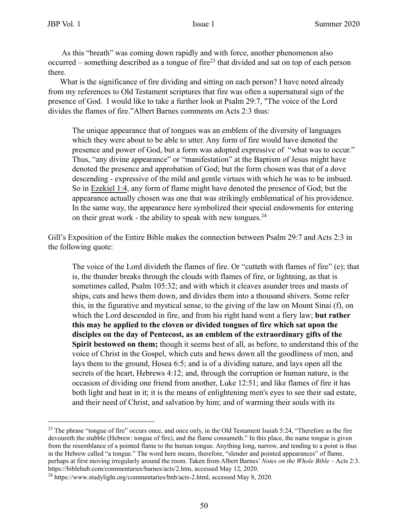As this "breath" was coming down rapidly and with force, another phenomenon also occurred – something described as a tongue of fire<sup>23</sup> that divided and sat on top of each person there.

What is the significance of fire dividing and sitting on each person? I have noted already from my references to Old Testament scriptures that fire was often a supernatural sign of the presence of God. I would like to take a further look at Psalm 29:7, "The voice of the Lord divides the flames of fire."Albert Barnes comments on Acts 2:3 thus:

The unique appearance that of tongues was an emblem of the diversity of languages which they were about to be able to utter. Any form of fire would have denoted the presence and power of God, but a form was adopted expressive of "what was to occur." Thus, "any divine appearance" or "manifestation" at the Baptism of Jesus might have denoted the presence and approbation of God; but the form chosen was that of a dove descending - expressive of the mild and gentle virtues with which he was to be imbued. So in Ezekiel 1:4, any form of flame might have denoted the presence of God; but the appearance actually chosen was one that was strikingly emblematical of his providence. In the same way, the appearance here symbolized their special endowments for entering on their great work - the ability to speak with new tongues. $^{24}$ 

Gill's Exposition of the Entire Bible makes the connection between Psalm 29:7 and Acts 2:3 in the following quote:

The voice of the Lord divideth the flames of fire. Or "cutteth with flames of fire" (e); that is, the thunder breaks through the clouds with flames of fire, or lightning, as that is sometimes called, Psalm 105:32; and with which it cleaves asunder trees and masts of ships, cuts and hews them down, and divides them into a thousand shivers. Some refer this, in the figurative and mystical sense, to the giving of the law on Mount Sinai (f), on which the Lord descended in fire, and from his right hand went a fiery law; **but rather this may be applied to the cloven or divided tongues of fire which sat upon the disciples on the day of Pentecost, as an emblem of the extraordinary gifts of the Spirit bestowed on them;** though it seems best of all, as before, to understand this of the voice of Christ in the Gospel, which cuts and hews down all the goodliness of men, and lays them to the ground, Hosea 6:5; and is of a dividing nature, and lays open all the secrets of the heart, Hebrews 4:12; and, through the corruption or human nature, is the occasion of dividing one friend from another, Luke 12:51; and like flames of fire it has both light and heat in it; it is the means of enlightening men's eyes to see their sad estate, and their need of Christ, and salvation by him; and of warming their souls with its

 $^{23}$  The phrase "tongue of fire" occurs once, and once only, in the Old Testament Isaiah 5:24, "Therefore as the fire devoureth the stubble (Hebrew: tongue of fire), and the flame consumeth." In this place, the name tongue is given from the resemblance of a pointed flame to the human tongue. Anything long, narrow, and tending to a point is thus in the Hebrew called "a tongue." The word here means, therefore, "slender and pointed appearances" of flame, perhaps at first moving irregularly around the room. Taken from Albert Barnes' *Notes on the Whole Bible* – Acts 2:3. https://biblehub.com/commentaries/barnes/acts/2.htm, accessed May 12, 2020.

<sup>&</sup>lt;sup>24</sup> https://www.studylight.org/commentaries/bnb/acts-2.html, accessed May 8, 2020.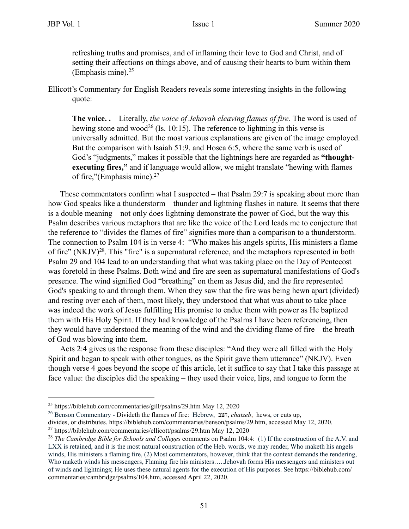refreshing truths and promises, and of inflaming their love to God and Christ, and of setting their affections on things above, and of causing their hearts to burn within them (Emphasis mine). $25$ 

Ellicott's Commentary for English Readers reveals some interesting insights in the following quote:

**The voice. .**—Literally, *the voice of Jehovah cleaving flames of fire.* The word is used of hewing stone and wood<sup>26</sup> (Is. 10:15). The reference to lightning in this verse is universally admitted. But the most various explanations are given of the image employed. But the comparison with Isaiah 51:9, and Hosea 6:5, where the same verb is used of God's "judgments," makes it possible that the lightnings here are regarded as **"thoughtexecuting fires,"** and if language would allow, we might translate "hewing with flames of fire,"(Emphasis mine).27

These commentators confirm what I suspected – that Psalm 29:7 is speaking about more than how God speaks like a thunderstorm – thunder and lightning flashes in nature. It seems that there is a double meaning – not only does lightning demonstrate the power of God, but the way this Psalm describes various metaphors that are like the voice of the Lord leads me to conjecture that the reference to "divides the flames of fire" signifies more than a comparison to a thunderstorm. The connection to Psalm 104 is in verse 4: "Who makes his angels spirits, His ministers a flame of fire" (NKJV)28. This "fire" is a supernatural reference, and the metaphors represented in both Psalm 29 and 104 lead to an understanding that what was taking place on the Day of Pentecost was foretold in these Psalms. Both wind and fire are seen as supernatural manifestations of God's presence. The wind signified God "breathing" on them as Jesus did, and the fire represented God's speaking to and through them. When they saw that the fire was being hewn apart (divided) and resting over each of them, most likely, they understood that what was about to take place was indeed the work of Jesus fulfilling His promise to endue them with power as He baptized them with His Holy Spirit. If they had knowledge of the Psalms I have been referencing, then they would have understood the meaning of the wind and the dividing flame of fire – the breath of God was blowing into them.

Acts 2:4 gives us the response from these disciples: "And they were all filled with the Holy Spirit and began to speak with other tongues, as the Spirit gave them utterance" (NKJV). Even though verse 4 goes beyond the scope of this article, let it suffice to say that I take this passage at face value: the disciples did the speaking – they used their voice, lips, and tongue to form the

26 Benson Commentary - Divideth the flames of fire: Hebrew, בצח , *chatzeb*, hews, or cuts up,

<sup>25</sup> https://biblehub.com/commentaries/gill/psalms/29.htm May 12, 2020

divides, or distributes. https://biblehub.com/commentaries/benson/psalms/29.htm, accessed May 12, 2020.

<sup>27</sup> https://biblehub.com/commentaries/ellicott/psalms/29.htm May 12, 2020

<sup>28</sup> *The Cambridge Bible for Schools and Colleges* comments on Psalm 104:4: (1) If the construction of the A.V. and LXX is retained, and it is the most natural construction of the Heb. words, we may render, Who maketh his angels winds, His ministers a flaming fire, (2) Most commentators, however, think that the context demands the rendering, Who maketh winds his messengers, Flaming fire his ministers…..Jehovah forms His messengers and ministers out of winds and lightnings; He uses these natural agents for the execution of His purposes. See https://biblehub.com/ commentaries/cambridge/psalms/104.htm, accessed April 22, 2020.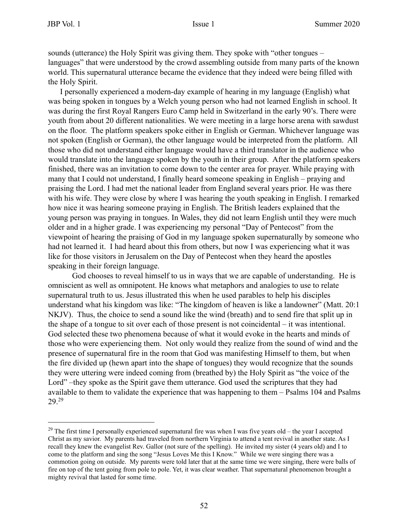sounds (utterance) the Holy Spirit was giving them. They spoke with "other tongues – languages" that were understood by the crowd assembling outside from many parts of the known world. This supernatural utterance became the evidence that they indeed were being filled with the Holy Spirit.

I personally experienced a modern-day example of hearing in my language (English) what was being spoken in tongues by a Welch young person who had not learned English in school. It was during the first Royal Rangers Euro Camp held in Switzerland in the early 90's. There were youth from about 20 different nationalities. We were meeting in a large horse arena with sawdust on the floor. The platform speakers spoke either in English or German. Whichever language was not spoken (English or German), the other language would be interpreted from the platform. All those who did not understand either language would have a third translator in the audience who would translate into the language spoken by the youth in their group. After the platform speakers finished, there was an invitation to come down to the center area for prayer. While praying with many that I could not understand, I finally heard someone speaking in English – praying and praising the Lord. I had met the national leader from England several years prior. He was there with his wife. They were close by where I was hearing the youth speaking in English. I remarked how nice it was hearing someone praying in English. The British leaders explained that the young person was praying in tongues. In Wales, they did not learn English until they were much older and in a higher grade. I was experiencing my personal "Day of Pentecost" from the viewpoint of hearing the praising of God in my language spoken supernaturally by someone who had not learned it. I had heard about this from others, but now I was experiencing what it was like for those visitors in Jerusalem on the Day of Pentecost when they heard the apostles speaking in their foreign language.

God chooses to reveal himself to us in ways that we are capable of understanding. He is omniscient as well as omnipotent. He knows what metaphors and analogies to use to relate supernatural truth to us. Jesus illustrated this when he used parables to help his disciples understand what his kingdom was like: "The kingdom of heaven is like a landowner" (Matt. 20:1 NKJV). Thus, the choice to send a sound like the wind (breath) and to send fire that split up in the shape of a tongue to sit over each of those present is not coincidental – it was intentional. God selected these two phenomena because of what it would evoke in the hearts and minds of those who were experiencing them. Not only would they realize from the sound of wind and the presence of supernatural fire in the room that God was manifesting Himself to them, but when the fire divided up (hewn apart into the shape of tongues) they would recognize that the sounds they were uttering were indeed coming from (breathed by) the Holy Spirit as "the voice of the Lord" –they spoke as the Spirit gave them utterance. God used the scriptures that they had available to them to validate the experience that was happening to them – Psalms 104 and Psalms 29.29

<sup>&</sup>lt;sup>29</sup> The first time I personally experienced supernatural fire was when I was five years old – the year I accepted Christ as my savior. My parents had traveled from northern Virginia to attend a tent revival in another state. As I recall they knew the evangelist Rev. Gallor (not sure of the spelling). He invited my sister (4 years old) and I to come to the platform and sing the song "Jesus Loves Me this I Know." While we were singing there was a commotion going on outside. My parents were told later that at the same time we were singing, there were balls of fire on top of the tent going from pole to pole. Yet, it was clear weather. That supernatural phenomenon brought a mighty revival that lasted for some time.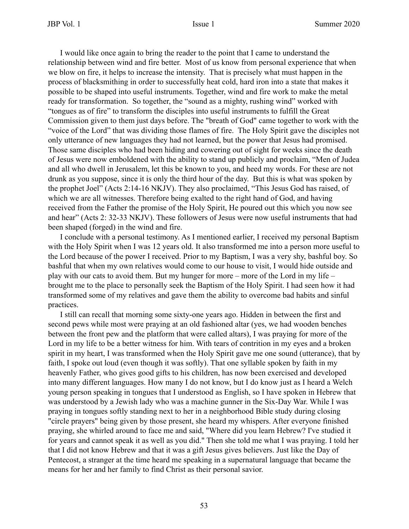I would like once again to bring the reader to the point that I came to understand the relationship between wind and fire better. Most of us know from personal experience that when we blow on fire, it helps to increase the intensity. That is precisely what must happen in the process of blacksmithing in order to successfully heat cold, hard iron into a state that makes it possible to be shaped into useful instruments. Together, wind and fire work to make the metal ready for transformation. So together, the "sound as a mighty, rushing wind" worked with "tongues as of fire" to transform the disciples into useful instruments to fulfill the Great Commission given to them just days before. The "breath of God" came together to work with the "voice of the Lord" that was dividing those flames of fire. The Holy Spirit gave the disciples not only utterance of new languages they had not learned, but the power that Jesus had promised. Those same disciples who had been hiding and cowering out of sight for weeks since the death of Jesus were now emboldened with the ability to stand up publicly and proclaim, "Men of Judea and all who dwell in Jerusalem, let this be known to you, and heed my words. For these are not drunk as you suppose, since it is only the third hour of the day. But this is what was spoken by the prophet Joel" (Acts 2:14-16 NKJV). They also proclaimed, "This Jesus God has raised, of which we are all witnesses. Therefore being exalted to the right hand of God, and having received from the Father the promise of the Holy Spirit, He poured out this which you now see and hear" (Acts 2: 32-33 NKJV). These followers of Jesus were now useful instruments that had been shaped (forged) in the wind and fire.

 I conclude with a personal testimony. As I mentioned earlier, I received my personal Baptism with the Holy Spirit when I was 12 years old. It also transformed me into a person more useful to the Lord because of the power I received. Prior to my Baptism, I was a very shy, bashful boy. So bashful that when my own relatives would come to our house to visit, I would hide outside and play with our cats to avoid them. But my hunger for more – more of the Lord in my life – brought me to the place to personally seek the Baptism of the Holy Spirit. I had seen how it had transformed some of my relatives and gave them the ability to overcome bad habits and sinful practices.

I still can recall that morning some sixty-one years ago. Hidden in between the first and second pews while most were praying at an old fashioned altar (yes, we had wooden benches between the front pew and the platform that were called altars), I was praying for more of the Lord in my life to be a better witness for him. With tears of contrition in my eyes and a broken spirit in my heart, I was transformed when the Holy Spirit gave me one sound (utterance), that by faith, I spoke out loud (even though it was softly). That one syllable spoken by faith in my heavenly Father, who gives good gifts to his children, has now been exercised and developed into many different languages. How many I do not know, but I do know just as I heard a Welch young person speaking in tongues that I understood as English, so I have spoken in Hebrew that was understood by a Jewish lady who was a machine gunner in the Six-Day War. While I was praying in tongues softly standing next to her in a neighborhood Bible study during closing "circle prayers" being given by those present, she heard my whispers. After everyone finished praying, she whirled around to face me and said, "Where did you learn Hebrew? I've studied it for years and cannot speak it as well as you did." Then she told me what I was praying. I told her that I did not know Hebrew and that it was a gift Jesus gives believers. Just like the Day of Pentecost, a stranger at the time heard me speaking in a supernatural language that became the means for her and her family to find Christ as their personal savior.